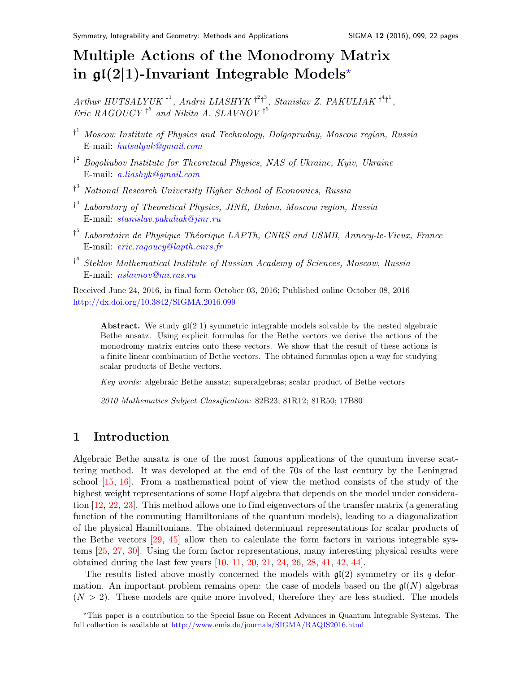# Multiple Actions of the Monodromy Matrix in  $\mathfrak{gl}(2|1)$ -Invariant Integrable Models<sup>\*</sup>

Arthur HUTSALYUK<sup>+1</sup>, Andrii LIASHYK<sup>+2+3</sup>, Stanislav Z. PAKULIAK<sup>+4+1</sup>, Eric RAGOUCY<sup>†5</sup> and Nikita A. SLAVNOV<sup>†6</sup>

- <sup>†</sup> Moscow Institute of Physics and Technology, Dolgoprudny, Moscow region, Russia E-mail: [hutsalyuk@gmail.com](mailto:hutsalyuk@gmail.com)
- <sup>†</sup> Bogoliubov Institute for Theoretical Physics, NAS of Ukraine, Kyiv, Ukraine E-mail: [a.liashyk@gmail.com](mailto:a.liashyk@gmail.com)
- <sup>†3</sup> National Research University Higher School of Economics, Russia
- <sup>†4</sup> Laboratory of Theoretical Physics, JINR, Dubna, Moscow region, Russia E-mail: [stanislav.pakuliak@jinr.ru](mailto:stanislav.pakuliak@jinr.ru)
- <sup>†5</sup> Laboratoire de Physique Théorique LAPTh, CNRS and USMB, Annecy-le-Vieux, France E-mail: [eric.ragoucy@lapth.cnrs.fr](mailto:eric.ragoucy@lapth.cnrs.fr)
- <sup>†6</sup> Steklov Mathematical Institute of Russian Academy of Sciences, Moscow, Russia E-mail: [nslavnov@mi.ras.ru](mailto:nslavnov@mi.ras.ru)

Received June 24, 2016, in final form October 03, 2016; Published online October 08, 2016 <http://dx.doi.org/10.3842/SIGMA.2016.099>

Abstract. We study  $\mathfrak{gl}(2|1)$  symmetric integrable models solvable by the nested algebraic Bethe ansatz. Using explicit formulas for the Bethe vectors we derive the actions of the monodromy matrix entries onto these vectors. We show that the result of these actions is a finite linear combination of Bethe vectors. The obtained formulas open a way for studying scalar products of Bethe vectors.

Key words: algebraic Bethe ansatz; superalgebras; scalar product of Bethe vectors

2010 Mathematics Subject Classification: 82B23; 81R12; 81R50; 17B80

# 1 Introduction

Algebraic Bethe ansatz is one of the most famous applications of the quantum inverse scattering method. It was developed at the end of the 70s of the last century by the Leningrad school [\[15,](#page-20-0) [16\]](#page-20-1). From a mathematical point of view the method consists of the study of the highest weight representations of some Hopf algebra that depends on the model under consideration [\[12,](#page-20-2) [22,](#page-20-3) [23\]](#page-20-4). This method allows one to find eigenvectors of the transfer matrix (a generating function of the commuting Hamiltonians of the quantum models), leading to a diagonalization of the physical Hamiltonians. The obtained determinant representations for scalar products of the Bethe vectors [\[29,](#page-20-5) [45\]](#page-21-0) allow then to calculate the form factors in various integrable systems [\[25,](#page-20-6) [27,](#page-20-7) [30\]](#page-20-8). Using the form factor representations, many interesting physical results were obtained during the last few years [\[10,](#page-20-9) [11,](#page-20-10) [20,](#page-20-11) [21,](#page-20-12) [24,](#page-20-13) [26,](#page-20-14) [28,](#page-20-15) [41,](#page-21-1) [42,](#page-21-2) [44\]](#page-21-3).

The results listed above mostly concerned the models with  $\mathfrak{gl}(2)$  symmetry or its q-deformation. An important problem remains open: the case of models based on the  $\mathfrak{gl}(N)$  algebras  $(N > 2)$ . These models are quite more involved, therefore they are less studied. The models

<span id="page-0-0"></span><sup>?</sup>This paper is a contribution to the Special Issue on Recent Advances in Quantum Integrable Systems. The full collection is available at <http://www.emis.de/journals/SIGMA/RAQIS2016.html>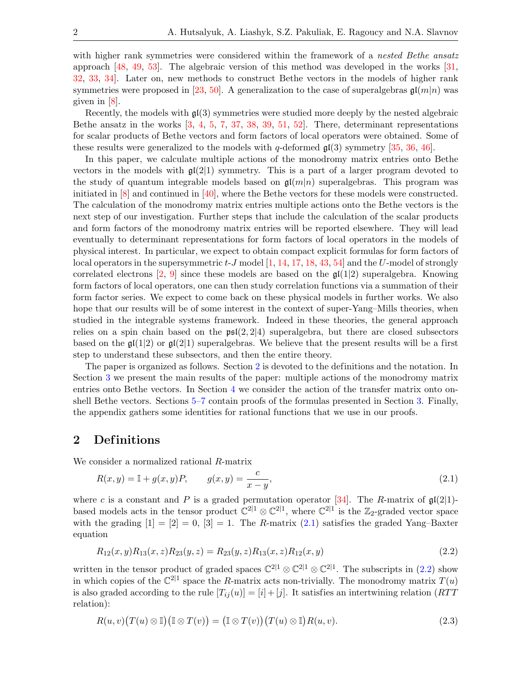with higher rank symmetries were considered within the framework of a *nested Bethe ansatz* approach [\[48,](#page-21-4) [49,](#page-21-5) [53\]](#page-21-6). The algebraic version of this method was developed in the works [\[31,](#page-20-16) [32,](#page-20-17) [33,](#page-21-7) [34\]](#page-21-8). Later on, new methods to construct Bethe vectors in the models of higher rank symmetries were proposed in [\[23,](#page-20-4) [50\]](#page-21-9). A generalization to the case of superalgebras  $\mathfrak{gl}(m|n)$  was given in [\[8\]](#page-20-18).

Recently, the models with  $\mathfrak{gl}(3)$  symmetries were studied more deeply by the nested algebraic Bethe ansatz in the works  $\left[3, 4, 5, 7, 37, 38, 39, 51, 52\right]$  $\left[3, 4, 5, 7, 37, 38, 39, 51, 52\right]$  $\left[3, 4, 5, 7, 37, 38, 39, 51, 52\right]$  $\left[3, 4, 5, 7, 37, 38, 39, 51, 52\right]$  $\left[3, 4, 5, 7, 37, 38, 39, 51, 52\right]$  $\left[3, 4, 5, 7, 37, 38, 39, 51, 52\right]$  $\left[3, 4, 5, 7, 37, 38, 39, 51, 52\right]$  $\left[3, 4, 5, 7, 37, 38, 39, 51, 52\right]$  $\left[3, 4, 5, 7, 37, 38, 39, 51, 52\right]$  $\left[3, 4, 5, 7, 37, 38, 39, 51, 52\right]$  $\left[3, 4, 5, 7, 37, 38, 39, 51, 52\right]$  $\left[3, 4, 5, 7, 37, 38, 39, 51, 52\right]$  $\left[3, 4, 5, 7, 37, 38, 39, 51, 52\right]$  $\left[3, 4, 5, 7, 37, 38, 39, 51, 52\right]$  $\left[3, 4, 5, 7, 37, 38, 39, 51, 52\right]$  $\left[3, 4, 5, 7, 37, 38, 39, 51, 52\right]$  $\left[3, 4, 5, 7, 37, 38, 39, 51, 52\right]$ . There, determinant representations for scalar products of Bethe vectors and form factors of local operators were obtained. Some of these results were generalized to the models with q-deformed  $\mathfrak{gl}(3)$  symmetry [\[35,](#page-21-15) [36,](#page-21-16) [46\]](#page-21-17).

In this paper, we calculate multiple actions of the monodromy matrix entries onto Bethe vectors in the models with  $\mathfrak{gl}(2|1)$  symmetry. This is a part of a larger program devoted to the study of quantum integrable models based on  $\mathfrak{gl}(m|n)$  superalgebras. This program was initiated in [\[8\]](#page-20-18) and continued in [\[40\]](#page-21-18), where the Bethe vectors for these models were constructed. The calculation of the monodromy matrix entries multiple actions onto the Bethe vectors is the next step of our investigation. Further steps that include the calculation of the scalar products and form factors of the monodromy matrix entries will be reported elsewhere. They will lead eventually to determinant representations for form factors of local operators in the models of physical interest. In particular, we expect to obtain compact explicit formulas for form factors of local operators in the supersymmetric  $t$ -J model  $[1, 14, 17, 18, 43, 54]$  $[1, 14, 17, 18, 43, 54]$  $[1, 14, 17, 18, 43, 54]$  $[1, 14, 17, 18, 43, 54]$  $[1, 14, 17, 18, 43, 54]$  $[1, 14, 17, 18, 43, 54]$  $[1, 14, 17, 18, 43, 54]$  $[1, 14, 17, 18, 43, 54]$  $[1, 14, 17, 18, 43, 54]$  $[1, 14, 17, 18, 43, 54]$  $[1, 14, 17, 18, 43, 54]$  and the U-model of strongly correlated electrons [\[2,](#page-19-5) [9\]](#page-20-22) since these models are based on the  $\mathfrak{gl}(1|2)$  superalgebra. Knowing form factors of local operators, one can then study correlation functions via a summation of their form factor series. We expect to come back on these physical models in further works. We also hope that our results will be of some interest in the context of super-Yang–Mills theories, when studied in the integrable systems framework. Indeed in these theories, the general approach relies on a spin chain based on the  $\mathfrak{psl}(2, 2|4)$  superalgebra, but there are closed subsectors based on the  $\mathfrak{gl}(1|2)$  or  $\mathfrak{gl}(2|1)$  superalgebras. We believe that the present results will be a first step to understand these subsectors, and then the entire theory.

The paper is organized as follows. Section [2](#page-1-0) is devoted to the definitions and the notation. In Section [3](#page-4-0) we present the main results of the paper: multiple actions of the monodromy matrix entries onto Bethe vectors. In Section [4](#page-6-0) we consider the action of the transfer matrix onto onshell Bethe vectors. Sections [5–](#page-7-0)[7](#page-17-0) contain proofs of the formulas presented in Section [3.](#page-4-0) Finally, the appendix gathers some identities for rational functions that we use in our proofs.

## <span id="page-1-0"></span>2 Definitions

We consider a normalized rational R-matrix

<span id="page-1-1"></span>
$$
R(x, y) = I + g(x, y)P, \t g(x, y) = \frac{c}{x - y}, \t (2.1)
$$

where c is a constant and P is a graded permutation operator [\[34\]](#page-21-8). The R-matrix of  $\mathfrak{gl}(2|1)$ based models acts in the tensor product  $\mathbb{C}^{2|1} \otimes \mathbb{C}^{2|1}$ , where  $\mathbb{C}^{2|1}$  is the  $\mathbb{Z}_2$ -graded vector space with the grading  $[1] = [2] = 0$ ,  $[3] = 1$ . The R-matrix  $(2.1)$  satisfies the graded Yang–Baxter equation

<span id="page-1-2"></span>
$$
R_{12}(x,y)R_{13}(x,z)R_{23}(y,z) = R_{23}(y,z)R_{13}(x,z)R_{12}(x,y)
$$
\n(2.2)

written in the tensor product of graded spaces  $\mathbb{C}^{2|1} \otimes \mathbb{C}^{2|1} \otimes \mathbb{C}^{2|1}$ . The subscripts in  $(2.2)$  show in which copies of the  $\mathbb{C}^{2|1}$  space the R-matrix acts non-trivially. The monodromy matrix  $T(u)$ is also graded according to the rule  $[T_{ij}(u)] = [i] + [j]$ . It satisfies an intertwining relation (RTT) relation):

<span id="page-1-3"></span>
$$
R(u, v)(T(u) \otimes \mathbb{I})(\mathbb{I} \otimes T(v)) = (\mathbb{I} \otimes T(v))(T(u) \otimes \mathbb{I})R(u, v).
$$
\n(2.3)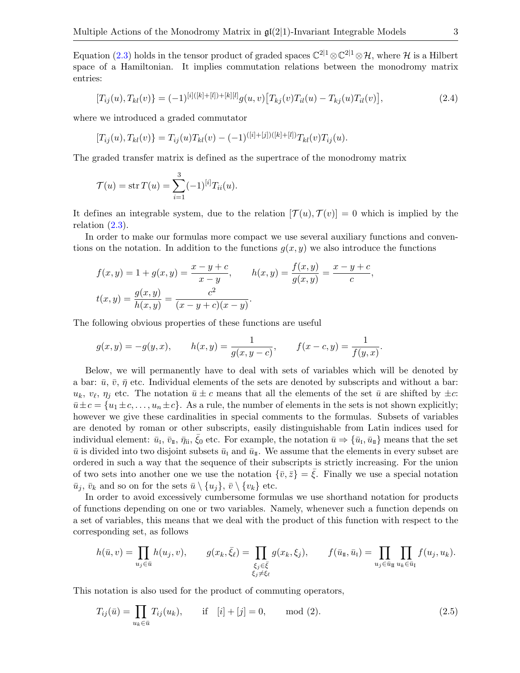Equation [\(2.3\)](#page-1-3) holds in the tensor product of graded spaces  $\mathbb{C}^{2|1} \otimes \mathbb{C}^{2|1} \otimes \mathcal{H}$ , where H is a Hilbert space of a Hamiltonian. It implies commutation relations between the monodromy matrix entries:

<span id="page-2-0"></span>
$$
[T_{ij}(u), T_{kl}(v)] = (-1)^{[i]([k]+[l])+[k][l]} g(u,v) [T_{kj}(v)T_{il}(u) - T_{kj}(u)T_{il}(v)],
$$
\n(2.4)

where we introduced a graded commutator

$$
[T_{ij}(u), T_{kl}(v)] = T_{ij}(u)T_{kl}(v) - (-1)^{([i]+[j])([k]+[l])}T_{kl}(v)T_{ij}(u).
$$

The graded transfer matrix is defined as the supertrace of the monodromy matrix

$$
\mathcal{T}(u) = \text{str}\,T(u) = \sum_{i=1}^{3} (-1)^{[i]} T_{ii}(u).
$$

It defines an integrable system, due to the relation  $[\mathcal{T}(u), \mathcal{T}(v)] = 0$  which is implied by the relation  $(2.3)$ .

In order to make our formulas more compact we use several auxiliary functions and conventions on the notation. In addition to the functions  $g(x, y)$  we also introduce the functions

$$
f(x,y) = 1 + g(x,y) = \frac{x-y+c}{x-y}, \qquad h(x,y) = \frac{f(x,y)}{g(x,y)} = \frac{x-y+c}{c},
$$

$$
t(x,y) = \frac{g(x,y)}{h(x,y)} = \frac{c^2}{(x-y+c)(x-y)}.
$$

The following obvious properties of these functions are useful

$$
g(x,y) = -g(y,x)
$$
,  $h(x,y) = \frac{1}{g(x,y-c)}$ ,  $f(x-c,y) = \frac{1}{f(y,x)}$ .

Below, we will permanently have to deal with sets of variables which will be denoted by a bar:  $\bar{u}$ ,  $\bar{v}$ ,  $\bar{\eta}$  etc. Individual elements of the sets are denoted by subscripts and without a bar:  $u_k, v_\ell, \eta_j$  etc. The notation  $\bar{u} \pm c$  means that all the elements of the set  $\bar{u}$  are shifted by  $\pm c$ :  $\overline{u}\pm c = \{u_1\pm c,\ldots,u_n\pm c\}$ . As a rule, the number of elements in the sets is not shown explicitly; however we give these cardinalities in special comments to the formulas. Subsets of variables are denoted by roman or other subscripts, easily distinguishable from Latin indices used for individual element:  $\bar{u}_1, \bar{v}_1, \bar{\eta}_1, \bar{\xi}_0$  etc. For example, the notation  $\bar{u} \Rightarrow {\bar{u}_1, \bar{u}_1}$  means that the set  $\bar{u}$  is divided into two disjoint subsets  $\bar{u}_I$  and  $\bar{u}_I$ . We assume that the elements in every subset are ordered in such a way that the sequence of their subscripts is strictly increasing. For the union of two sets into another one we use the notation  $\{\bar{v}, \bar{z}\} = \xi$ . Finally we use a special notation  $\bar{u}_j$ ,  $\bar{v}_k$  and so on for the sets  $\bar{u} \setminus \{u_j\}$ ,  $\bar{v} \setminus \{v_k\}$  etc.

In order to avoid excessively cumbersome formulas we use shorthand notation for products of functions depending on one or two variables. Namely, whenever such a function depends on a set of variables, this means that we deal with the product of this function with respect to the corresponding set, as follows

$$
h(\bar{u},v) = \prod_{u_j \in \bar{u}} h(u_j,v), \qquad g(x_k,\bar{\xi}_\ell) = \prod_{\substack{\xi_j \in \bar{\xi} \\ \xi_j \neq \xi_\ell}} g(x_k,\xi_j), \qquad f(\bar{u}_{\bar{u}},\bar{u}_{\bar{u}}) = \prod_{u_j \in \bar{u}_{\bar{u}}} \prod_{u_k \in \bar{u}_{\bar{u}}} f(u_j,u_k).
$$

This notation is also used for the product of commuting operators,

<span id="page-2-1"></span>
$$
T_{ij}(\bar{u}) = \prod_{u_k \in \bar{u}} T_{ij}(u_k), \quad \text{if } [i] + [j] = 0, \quad \text{mod } (2). \tag{2.5}
$$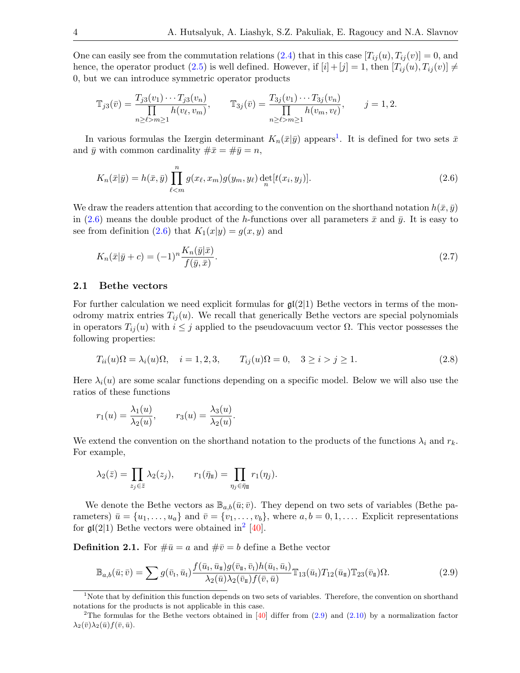One can easily see from the commutation relations [\(2.4\)](#page-2-0) that in this case  $[T_{ij}(u), T_{ij}(v)] = 0$ , and hence, the operator product [\(2.5\)](#page-2-1) is well defined. However, if  $[i] + [j] = 1$ , then  $[T_{ij}(u), T_{ij}(v)] \neq$ 0, but we can introduce symmetric operator products

$$
\mathbb{T}_{j3}(\bar{v}) = \frac{T_{j3}(v_1) \cdots T_{j3}(v_n)}{\prod_{n \ge \ell > m \ge 1} h(v_\ell, v_m)}, \qquad \mathbb{T}_{3j}(\bar{v}) = \frac{T_{3j}(v_1) \cdots T_{3j}(v_n)}{\prod_{n \ge \ell > m \ge 1} h(v_m, v_\ell)}, \qquad j = 1, 2.
$$

In various formulas the Izergin determinant  $K_n(\bar{x}|\bar{y})$  appears<sup>[1](#page-3-0)</sup>. It is defined for two sets  $\bar{x}$ and  $\bar{y}$  with common cardinality  $\#\bar{x} = \#\bar{y} = n$ ,

<span id="page-3-1"></span>
$$
K_n(\bar{x}|\bar{y}) = h(\bar{x}, \bar{y}) \prod_{\ell \leq m}^{n} g(x_{\ell}, x_m) g(y_m, y_{\ell}) \det_{n} [t(x_i, y_j)]. \tag{2.6}
$$

We draw the readers attention that according to the convention on the shorthand notation  $h(\bar{x}, \bar{y})$ in [\(2.6\)](#page-3-1) means the double product of the h-functions over all parameters  $\bar{x}$  and  $\bar{y}$ . It is easy to see from definition  $(2.6)$  that  $K_1(x|y) = g(x, y)$  and

<span id="page-3-5"></span>
$$
K_n(\bar{x}|\bar{y}+c) = (-1)^n \frac{K_n(\bar{y}|\bar{x})}{f(\bar{y},\bar{x})}.
$$
\n
$$
(2.7)
$$

#### 2.1 Bethe vectors

For further calculation we need explicit formulas for  $\mathfrak{gl}(2|1)$  Bethe vectors in terms of the monodromy matrix entries  $T_{ij}(u)$ . We recall that generically Bethe vectors are special polynomials in operators  $T_{ij}(u)$  with  $i \leq j$  applied to the pseudovacuum vector  $\Omega$ . This vector possesses the following properties:

<span id="page-3-4"></span>
$$
T_{ii}(u)\Omega = \lambda_i(u)\Omega, \quad i = 1, 2, 3, \qquad T_{ij}(u)\Omega = 0, \quad 3 \ge i > j \ge 1.
$$
\n(2.8)

Here  $\lambda_i(u)$  are some scalar functions depending on a specific model. Below we will also use the ratios of these functions

$$
r_1(u) = \frac{\lambda_1(u)}{\lambda_2(u)}, \qquad r_3(u) = \frac{\lambda_3(u)}{\lambda_2(u)}.
$$

We extend the convention on the shorthand notation to the products of the functions  $\lambda_i$  and  $r_k$ . For example,

$$
\lambda_2(\bar{z}) = \prod_{z_j \in \bar{z}} \lambda_2(z_j), \qquad r_1(\bar{\eta}_I) = \prod_{\eta_j \in \bar{\eta}_I} r_1(\eta_j).
$$

We denote the Bethe vectors as  $\mathbb{B}_{a,b}(\bar{u};\bar{v})$ . They depend on two sets of variables (Bethe parameters)  $\bar{u} = \{u_1, \ldots, u_a\}$  and  $\bar{v} = \{v_1, \ldots, v_b\}$ , where  $a, b = 0, 1, \ldots$ . Explicit representations for  $\mathfrak{gl}(2|1)$  $\mathfrak{gl}(2|1)$  $\mathfrak{gl}(2|1)$  Bethe vectors were obtained in<sup>2</sup> [\[40\]](#page-21-18).

**Definition 2.1.** For  $\#\bar{u} = a$  and  $\#\bar{v} = b$  define a Bethe vector

<span id="page-3-3"></span>
$$
\mathbb{B}_{a,b}(\bar{u};\bar{v}) = \sum g(\bar{v}_I, \bar{u}_I) \frac{f(\bar{u}_I, \bar{u}_I)g(\bar{v}_I, \bar{v}_I)h(\bar{u}_I, \bar{u}_I)}{\lambda_2(\bar{u})\lambda_2(\bar{v}_I)f(\bar{v}, \bar{u})} \mathbb{T}_{13}(\bar{u}_I)T_{12}(\bar{u}_I) \mathbb{T}_{23}(\bar{v}_I)\Omega.
$$
\n(2.9)

<span id="page-3-0"></span><sup>&</sup>lt;sup>1</sup>Note that by definition this function depends on two sets of variables. Therefore, the convention on shorthand notations for the products is not applicable in this case.

<span id="page-3-2"></span><sup>&</sup>lt;sup>2</sup>The formulas for the Bethe vectors obtained in  $[40]$  differ from  $(2.9)$  and  $(2.10)$  by a normalization factor  $\lambda_2(\bar{v})\lambda_2(\bar{u})f(\bar{v},\bar{u}).$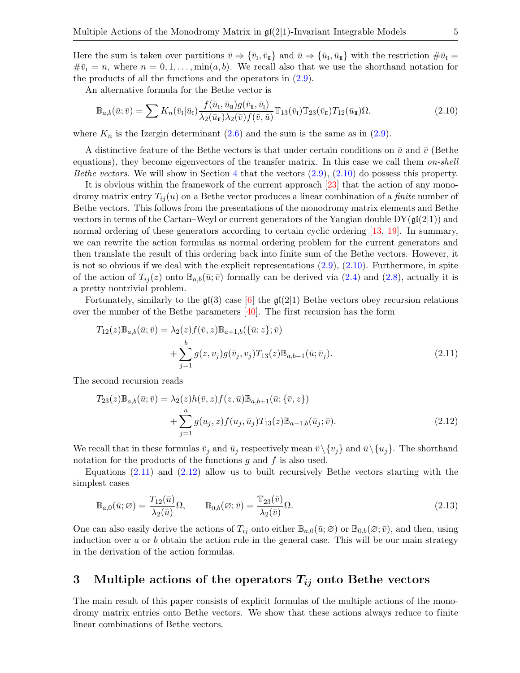Here the sum is taken over partitions  $\bar{v} \Rightarrow \{\bar{v}_{I}, \bar{v}_{II}\}\$ and  $\bar{u} \Rightarrow \{\bar{u}_{I}, \bar{u}_{II}\}\$  with the restriction  $\#\bar{u}_{I} =$  $\#\bar{v}_I = n$ , where  $n = 0, 1, \ldots, \min(a, b)$ . We recall also that we use the shorthand notation for the products of all the functions and the operators in  $(2.9)$ .

An alternative formula for the Bethe vector is

<span id="page-4-1"></span>
$$
\mathbb{B}_{a,b}(\bar{u};\bar{v}) = \sum K_n(\bar{v}_I|\bar{u}_I) \frac{f(\bar{u}_I, \bar{u}_I)g(\bar{v}_I, \bar{v}_I)}{\lambda_2(\bar{u}_I)\lambda_2(\bar{v})f(\bar{v}, \bar{u})} \mathbb{T}_{13}(\bar{v}_I) \mathbb{T}_{23}(\bar{v}_I) T_{12}(\bar{u}_I)\Omega,
$$
\n(2.10)

where  $K_n$  is the Izergin determinant  $(2.6)$  and the sum is the same as in  $(2.9)$ .

A distinctive feature of the Bethe vectors is that under certain conditions on  $\bar{u}$  and  $\bar{v}$  (Bethe equations), they become eigenvectors of the transfer matrix. In this case we call them on-shell *Bethe vectors.* We will show in Section [4](#page-6-0) that the vectors  $(2.9)$ ,  $(2.10)$  do possess this property.

It is obvious within the framework of the current approach [\[23\]](#page-20-4) that the action of any monodromy matrix entry  $T_{ij}(u)$  on a Bethe vector produces a linear combination of a *finite* number of Bethe vectors. This follows from the presentations of the monodromy matrix elements and Bethe vectors in terms of the Cartan–Weyl or current generators of the Yangian double  $DY(\mathfrak{gl}(2|1))$  and normal ordering of these generators according to certain cyclic ordering [\[13,](#page-20-23) [19\]](#page-20-24). In summary, we can rewrite the action formulas as normal ordering problem for the current generators and then translate the result of this ordering back into finite sum of the Bethe vectors. However, it is not so obvious if we deal with the explicit representations  $(2.9)$ ,  $(2.10)$ . Furthermore, in spite of the action of  $T_{ij}(z)$  onto  $\mathbb{B}_{a,b}(\bar{u};\bar{v})$  formally can be derived via  $(2.4)$  and  $(2.8)$ , actually it is a pretty nontrivial problem.

Fortunately, similarly to the  $\mathfrak{gl}(3)$  case [\[6\]](#page-19-6) the  $\mathfrak{gl}(2|1)$  Bethe vectors obey recursion relations over the number of the Bethe parameters  $[40]$ . The first recursion has the form

<span id="page-4-2"></span>
$$
T_{12}(z)\mathbb{B}_{a,b}(\bar{u};\bar{v}) = \lambda_2(z)f(\bar{v},z)\mathbb{B}_{a+1,b}(\{\bar{u};z\};\bar{v}) + \sum_{j=1}^b g(z,v_j)g(\bar{v}_j,v_j)T_{13}(z)\mathbb{B}_{a,b-1}(\bar{u};\bar{v}_j).
$$
(2.11)

The second recursion reads

<span id="page-4-3"></span>
$$
T_{23}(z)\mathbb{B}_{a,b}(\bar{u};\bar{v}) = \lambda_2(z)h(\bar{v},z)f(z,\bar{u})\mathbb{B}_{a,b+1}(\bar{u};\{\bar{v},z\}) + \sum_{j=1}^a g(u_j,z)f(u_j,\bar{u}_j)T_{13}(z)\mathbb{B}_{a-1,b}(\bar{u}_j;\bar{v}).
$$
\n(2.12)

We recall that in these formulas  $\bar{v}_j$  and  $\bar{u}_j$  respectively mean  $\bar{v}\setminus{v_j}$  and  $\bar{u}\setminus{u_j}$ . The shorthand notation for the products of the functions  $g$  and  $f$  is also used.

Equations [\(2.11\)](#page-4-2) and [\(2.12\)](#page-4-3) allow us to built recursively Bethe vectors starting with the simplest cases

<span id="page-4-4"></span>
$$
\mathbb{B}_{a,0}(\bar{u};\varnothing) = \frac{T_{12}(\bar{u})}{\lambda_2(\bar{u})}\Omega, \qquad \mathbb{B}_{0,b}(\varnothing;\bar{v}) = \frac{\mathbb{T}_{23}(\bar{v})}{\lambda_2(\bar{v})}\Omega.
$$
\n(2.13)

One can also easily derive the actions of  $T_{ij}$  onto either  $\mathbb{B}_{a,0}(\bar{u}; \varnothing)$  or  $\mathbb{B}_{0,b}(\varnothing; \bar{v})$ , and then, using induction over  $a$  or  $b$  obtain the action rule in the general case. This will be our main strategy in the derivation of the action formulas.

# <span id="page-4-0"></span>3 Multiple actions of the operators  $T_{ij}$  onto Bethe vectors

The main result of this paper consists of explicit formulas of the multiple actions of the monodromy matrix entries onto Bethe vectors. We show that these actions always reduce to finite linear combinations of Bethe vectors.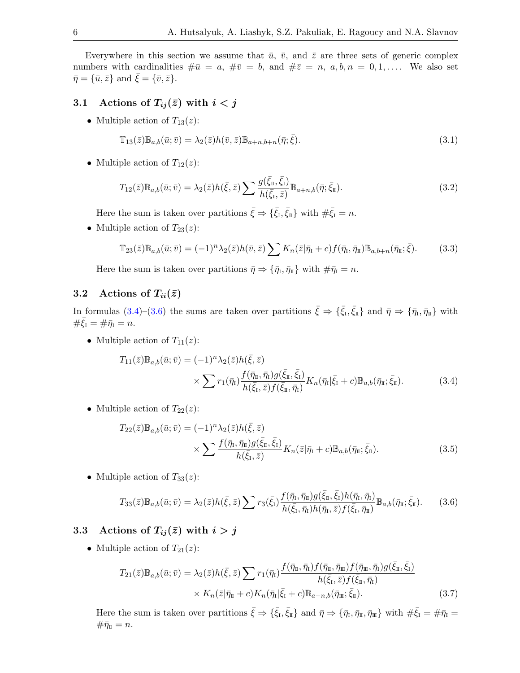Everywhere in this section we assume that  $\bar{u}$ ,  $\bar{v}$ , and  $\bar{z}$  are three sets of generic complex numbers with cardinalities  $\#\bar{u} = a, \#\bar{v} = b$ , and  $\#\bar{z} = n, a, b, n = 0, 1, \dots$ . We also set  $\bar{\eta} = {\bar{u}, \bar{z}}$  and  $\xi = {\bar{v}, \bar{z}}$ .

# 3.1 Actions of  $T_{ij}(\bar{z})$  with  $i < j$

• Multiple action of  $T_{13}(z)$ :

<span id="page-5-2"></span>
$$
\mathbb{T}_{13}(\bar{z})\mathbb{B}_{a,b}(\bar{u};\bar{v}) = \lambda_2(\bar{z})h(\bar{v},\bar{z})\mathbb{B}_{a+n,b+n}(\bar{\eta};\bar{\xi}).\tag{3.1}
$$

• Multiple action of  $T_{12}(z)$ :

<span id="page-5-3"></span>
$$
T_{12}(\bar{z})\mathbb{B}_{a,b}(\bar{u};\bar{v}) = \lambda_2(\bar{z})h(\bar{\xi},\bar{z})\sum \frac{g(\bar{\xi}_{\bar{\mathfrak{u}}},\bar{\xi}_{\bar{\mathfrak{t}}})}{h(\bar{\xi}_{\bar{\mathfrak{t}}},\bar{z})}\mathbb{B}_{a+n,b}(\bar{\eta};\bar{\xi}_{\bar{\mathfrak{u}}}).
$$
\n(3.2)

Here the sum is taken over partitions  $\bar{\xi} \Rightarrow {\{\bar{\xi}_I,\bar{\xi}_{\text{II}}\}}$  with  $\#\bar{\xi}_I = n$ .

• Multiple action of  $T_{23}(z)$ :

<span id="page-5-4"></span>
$$
\mathbb{T}_{23}(\bar{z})\mathbb{B}_{a,b}(\bar{u};\bar{v}) = (-1)^n \lambda_2(\bar{z})h(\bar{v},\bar{z}) \sum K_n(\bar{z}|\bar{\eta}_I + c) f(\bar{\eta}_I, \bar{\eta}_I) \mathbb{B}_{a,b+n}(\bar{\eta}_I; \bar{\xi}). \tag{3.3}
$$

Here the sum is taken over partitions  $\bar{\eta} \Rightarrow {\bar{\eta}_I, \bar{\eta}_I}$  with  $\#\bar{\eta}_I = n$ .

### 3.2 Actions of  $T_{ii}(\bar{z})$

In formulas  $(3.4)-(3.6)$  $(3.4)-(3.6)$  $(3.4)-(3.6)$  the sums are taken over partitions  $\bar{\xi} \Rightarrow {\{\bar{\xi}_I,\bar{\xi}_I\}}$  and  $\bar{\eta} \Rightarrow {\{\bar{\eta}_I,\bar{\eta}_I\}}$  with  $\#\bar{\xi}_I = \#\bar{\eta}_I = n.$ 

• Multiple action of  $T_{11}(z)$ :

<span id="page-5-0"></span>
$$
T_{11}(\bar{z})\mathbb{B}_{a,b}(\bar{u};\bar{v}) = (-1)^n \lambda_2(\bar{z})h(\bar{\xi},\bar{z})
$$
  
 
$$
\times \sum r_1(\bar{\eta}_1) \frac{f(\bar{\eta}_1, \bar{\eta}_1)g(\bar{\xi}_1, \bar{\xi}_1)}{h(\bar{\xi}_1, \bar{z})f(\bar{\xi}_1, \bar{\eta}_1)} K_n(\bar{\eta}_1|\bar{\xi}_1 + c) \mathbb{B}_{a,b}(\bar{\eta}_1; \bar{\xi}_1).
$$
 (3.4)

• Multiple action of  $T_{22}(z)$ :

<span id="page-5-5"></span>
$$
T_{22}(\bar{z})\mathbb{B}_{a,b}(\bar{u};\bar{v}) = (-1)^n \lambda_2(\bar{z})h(\bar{\xi},\bar{z})
$$
  
 
$$
\times \sum \frac{f(\bar{\eta}_1, \bar{\eta}_1)g(\bar{\xi}_1, \bar{\xi}_1)}{h(\bar{\xi}_1, \bar{z})} K_n(\bar{z}|\bar{\eta}_1 + c) \mathbb{B}_{a,b}(\bar{\eta}_1; \bar{\xi}_1).
$$
 (3.5)

• Multiple action of  $T_{33}(z)$ :

<span id="page-5-1"></span>
$$
T_{33}(\bar{z})\mathbb{B}_{a,b}(\bar{u};\bar{v}) = \lambda_2(\bar{z})h(\bar{\xi},\bar{z})\sum r_3(\bar{\xi}_1)\frac{f(\bar{\eta}_1,\bar{\eta}_1)g(\bar{\xi}_1,\bar{\xi}_1)h(\bar{\eta}_1,\bar{\eta}_1)}{h(\bar{\xi}_1,\bar{\eta}_1)h(\bar{\eta}_1,\bar{z})f(\bar{\xi}_1,\bar{\eta}_1)}\mathbb{B}_{a,b}(\bar{\eta}_1;\bar{\xi}_1). \tag{3.6}
$$

# 3.3 Actions of  $T_{ij}(\bar{z})$  with  $i > j$

• Multiple action of  $T_{21}(z)$ :

<span id="page-5-6"></span>
$$
T_{21}(\bar{z})\mathbb{B}_{a,b}(\bar{u};\bar{v}) = \lambda_2(\bar{z})h(\bar{\xi},\bar{z})\sum r_1(\bar{\eta}_1)\frac{f(\bar{\eta}_1,\bar{\eta}_1)f(\bar{\eta}_1,\bar{\eta}_1)f(\bar{\eta}_1,\bar{\eta}_1)g(\bar{\xi}_1,\bar{\xi}_1)}{h(\bar{\xi}_1,\bar{z})f(\bar{\xi}_1,\bar{\eta}_1)}
$$

$$
\times K_n(\bar{z}|\bar{\eta}_1 + c)K_n(\bar{\eta}_1|\bar{\xi}_1 + c)\mathbb{B}_{a-n,b}(\bar{\eta}_1;\bar{\xi}_1). \tag{3.7}
$$

Here the sum is taken over partitions  $\bar{\xi} \Rightarrow {\{\bar{\xi}_I,\bar{\xi}_I\}}$  and  $\bar{\eta} \Rightarrow {\{\bar{\eta}_I,\bar{\eta}_{II},\bar{\eta}_{II}\}}$  with  $\#\bar{\xi}_I = \#\bar{\eta}_I =$  $\#\bar{\eta}_{\scriptscriptstyle \rm I\hspace{-1pt}I}=n.$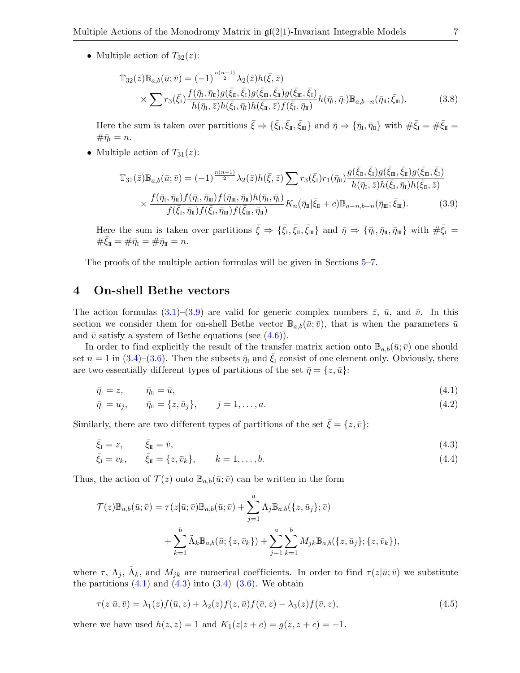• Multiple action of  $T_{32}(z)$ :

$$
\mathbb{T}_{32}(\bar{z})\mathbb{B}_{a,b}(\bar{u};\bar{v}) = (-1)^{\frac{n(n-1)}{2}} \lambda_2(\bar{z})h(\bar{\xi},\bar{z}) \times \sum r_3(\bar{\xi}_1) \frac{f(\bar{\eta}_1, \bar{\eta}_1)g(\bar{\xi}_1, \bar{\xi}_1)g(\bar{\xi}_1, \bar{\xi}_1)g(\bar{\xi}_1, \bar{\xi}_1)}{h(\bar{\eta}_1, \bar{z})h(\bar{\xi}_1, \bar{\eta}_1)h(\bar{\xi}_1, \bar{z})f(\bar{\xi}_1, \bar{\eta}_1)} h(\bar{\eta}_1, \bar{\eta}_1)\mathbb{B}_{a,b-n}(\bar{\eta}_1; \bar{\xi}_1).
$$
\n(3.8)

Here the sum is taken over partitions  $\bar{\xi} \Rightarrow {\{\bar{\xi}_I,\bar{\xi}_{\tt\!I},\bar{\xi}_{\tt\!I\tt}}\}}$  and  $\bar{\eta} \Rightarrow {\{\bar{\eta}_I,\bar{\eta}_{\tt\!I}\}}$  with  $\#\bar{\xi}_I = \#\bar{\xi}_{\tt\!I\tt} =$  $\#\bar{\eta}_I = n.$ 

• Multiple action of  $T_{31}(z)$ :

<span id="page-6-1"></span>
$$
\mathbb{T}_{31}(\bar{z})\mathbb{B}_{a,b}(\bar{u};\bar{v}) = (-1)^{\frac{n(n+1)}{2}}\lambda_2(\bar{z})h(\bar{\xi},\bar{z})\sum r_3(\bar{\xi}_1)r_1(\bar{\eta}_n)\frac{g(\bar{\xi}_n,\bar{\xi}_1)g(\bar{\xi}_m,\bar{\xi}_n)g(\bar{\xi}_m,\bar{\xi}_1)}{h(\bar{\eta}_1,\bar{z})h(\bar{\xi}_1,\bar{\eta}_1)h(\bar{\xi}_n,\bar{z})}\times \frac{f(\bar{\eta}_1,\bar{\eta}_n)f(\bar{\eta}_1,\bar{\eta}_m)f(\bar{\eta}_m,\bar{\eta}_n)h(\bar{\eta}_1,\bar{\eta}_1)}{f(\bar{\xi}_1,\bar{\eta}_n)f(\bar{\xi}_1,\bar{\eta}_m)f(\bar{\xi}_m,\bar{\eta}_n)}K_n(\bar{\eta}_1|\bar{\xi}_n+c)\mathbb{B}_{a-n,b-n}(\bar{\eta}_m;\bar{\xi}_m).
$$
\n(3.9)

Here the sum is taken over partitions  $\bar{\xi} \Rightarrow {\{\bar{\xi}_I,\bar{\xi}_{\bar{\pi}},\bar{\xi}_{\bar{\pi}}\}}$  and  $\bar{\eta} \Rightarrow {\{\bar{\eta}_I,\bar{\eta}_{\bar{\pi}},\bar{\eta}_{\bar{\pi}}\}}$  with  $\#\bar{\xi}_I =$  $\#\xi_{\text{II}} = \#\bar{\eta}_{\text{I}} = \#\bar{\eta}_{\text{II}} = n.$ 

The proofs of the multiple action formulas will be given in Sections [5–](#page-7-0)[7.](#page-17-0)

## <span id="page-6-0"></span>4 On-shell Bethe vectors

The action formulas  $(3.1)$ – $(3.9)$  are valid for generic complex numbers  $\overline{z}$ ,  $\overline{u}$ , and  $\overline{v}$ . In this section we consider them for on-shell Bethe vector  $\mathbb{B}_{a,b}(\bar{u};\bar{v})$ , that is when the parameters  $\bar{u}$ and  $\bar{v}$  satisfy a system of Bethe equations (see [\(4.6\)](#page-7-1)).

In order to find explicitly the result of the transfer matrix action onto  $\mathbb{B}_{a,b}(\bar{u};\bar{v})$  one should set  $n = 1$  in [\(3.4\)](#page-5-0)–[\(3.6\)](#page-5-1). Then the subsets  $\bar{\eta}_I$  and  $\bar{\xi}_I$  consist of one element only. Obviously, there are two essentially different types of partitions of the set  $\bar{\eta} = \{z, \bar{u}\}\$ :

<span id="page-6-2"></span>
$$
\bar{\eta}_{\rm I} = z, \qquad \bar{\eta}_{\rm II} = \bar{u}, \tag{4.1}
$$

<span id="page-6-4"></span><span id="page-6-3"></span>
$$
\bar{\eta}_I = u_j, \qquad \bar{\eta}_I = \{z, \bar{u}_j\}, \qquad j = 1, \dots, a. \tag{4.2}
$$

Similarly, there are two different types of partitions of the set  $\bar{\xi} = \{z, \bar{v}\}\$ :

$$
\bar{\xi}_I = z, \qquad \bar{\xi}_I = \bar{v},
$$
\n
$$
\bar{\xi}_I = v_k, \qquad \bar{\xi}_I = \{z, \bar{v}_k\}, \qquad k = 1, \dots, b.
$$
\n(4.3)\n(4.4)

Thus, the action of  $\mathcal{T}(z)$  onto  $\mathbb{B}_{a,b}(\bar{u};\bar{v})$  can be written in the form

<span id="page-6-5"></span>
$$
\mathcal{T}(z) \mathbb{B}_{a,b}(\bar{u};\bar{v}) = \tau(z|\bar{u};\bar{v}) \mathbb{B}_{a,b}(\bar{u};\bar{v}) + \sum_{j=1}^{a} \Lambda_j \mathbb{B}_{a,b}(\{z,\bar{u}_j\};\bar{v}) \n+ \sum_{k=1}^{b} \tilde{\Lambda}_k \mathbb{B}_{a,b}(\bar{u};\{z,\bar{v}_k\}) + \sum_{j=1}^{a} \sum_{k=1}^{b} M_{jk} \mathbb{B}_{a,b}(\{z,\bar{u}_j\};\{z,\bar{v}_k\}),
$$

where  $\tau$ ,  $\Lambda_j$ ,  $\tilde{\Lambda}_k$ , and  $M_{jk}$  are numerical coefficients. In order to find  $\tau(z|\bar{u};\bar{v})$  we substitute the partitions  $(4.1)$  and  $(4.3)$  into  $(3.4)$ – $(3.6)$ . We obtain

<span id="page-6-6"></span>
$$
\tau(z|\bar{u},\bar{v}) = \lambda_1(z)f(\bar{u},z) + \lambda_2(z)f(z,\bar{u})f(\bar{v},z) - \lambda_3(z)f(\bar{v},z),
$$
\n(4.5)

where we have used  $h(z, z) = 1$  and  $K_1(z|z + c) = g(z, z + c) = -1$ .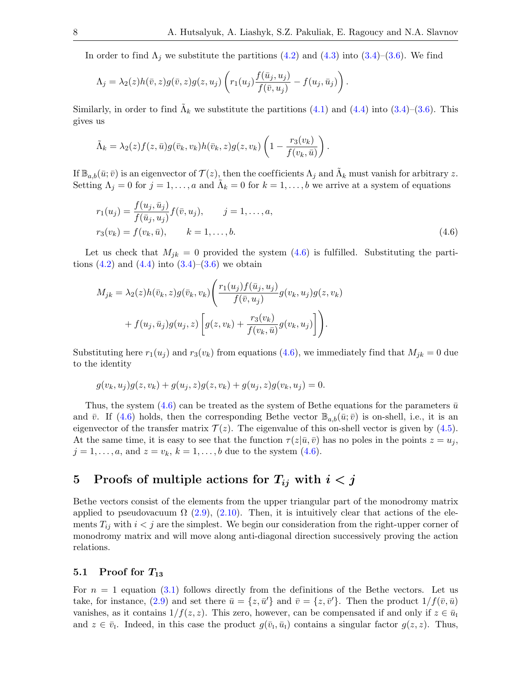In order to find  $\Lambda_j$  we substitute the partitions [\(4.2\)](#page-6-4) and [\(4.3\)](#page-6-3) into [\(3.4\)](#page-5-0)–[\(3.6\)](#page-5-1). We find

$$
\Lambda_j = \lambda_2(z)h(\bar{v},z)g(\bar{v},z)g(z,u_j)\left(r_1(u_j)\frac{f(\bar{u}_j,u_j)}{f(\bar{v},u_j)} - f(u_j,\bar{u}_j)\right).
$$

Similarly, in order to find  $\tilde{\Lambda}_k$  we substitute the partitions [\(4.1\)](#page-6-2) and [\(4.4\)](#page-6-5) into [\(3.4\)](#page-5-0)–[\(3.6\)](#page-5-1). This gives us

$$
\tilde{\Lambda}_k = \lambda_2(z) f(z, \bar{u}) g(\bar{v}_k, v_k) h(\bar{v}_k, z) g(z, v_k) \left(1 - \frac{r_3(v_k)}{f(v_k, \bar{u})}\right).
$$

If  $\mathbb{B}_{a,b}(\bar{u}; \bar{v})$  is an eigenvector of  $\mathcal{T}(z)$ , then the coefficients  $\Lambda_j$  and  $\tilde{\Lambda}_k$  must vanish for arbitrary z. Setting  $\Lambda_j = 0$  for  $j = 1, \ldots, a$  and  $\tilde{\Lambda}_k = 0$  for  $k = 1, \ldots, b$  we arrive at a system of equations

<span id="page-7-1"></span>
$$
r_1(u_j) = \frac{f(u_j, \bar{u}_j)}{f(\bar{u}_j, u_j)} f(\bar{v}, u_j), \qquad j = 1, ..., a,
$$
  
\n
$$
r_3(v_k) = f(v_k, \bar{u}), \qquad k = 1, ..., b.
$$
\n(4.6)

Let us check that  $M_{jk} = 0$  provided the system  $(4.6)$  is fulfilled. Substituting the partitions  $(4.2)$  and  $(4.4)$  into  $(3.4)$ – $(3.6)$  we obtain

$$
M_{jk} = \lambda_2(z)h(\bar{v}_k, z)g(\bar{v}_k, v_k)\left(\frac{r_1(u_j)f(\bar{u}_j, u_j)}{f(\bar{v}, u_j)}g(v_k, u_j)g(z, v_k)\right) + f(u_j, \bar{u}_j)g(u_j, z)\left[g(z, v_k) + \frac{r_3(v_k)}{f(v_k, \bar{u})}g(v_k, u_j)\right].
$$

Substituting here  $r_1(u_j)$  and  $r_3(v_k)$  from equations [\(4.6\)](#page-7-1), we immediately find that  $M_{jk} = 0$  due to the identity

$$
g(v_k, u_j)g(z, v_k) + g(u_j, z)g(z, v_k) + g(u_j, z)g(v_k, u_j) = 0.
$$

Thus, the system [\(4.6\)](#page-7-1) can be treated as the system of Bethe equations for the parameters  $\bar{u}$ and  $\bar{v}$ . If [\(4.6\)](#page-7-1) holds, then the corresponding Bethe vector  $\mathbb{B}_{a,b}(\bar{u};\bar{v})$  is on-shell, i.e., it is an eigenvector of the transfer matrix  $\mathcal{T}(z)$ . The eigenvalue of this on-shell vector is given by [\(4.5\)](#page-6-6). At the same time, it is easy to see that the function  $\tau(z|\bar{u}, \bar{v})$  has no poles in the points  $z = u_j$ ,  $j = 1, ..., a$ , and  $z = v_k, k = 1, ..., b$  due to the system [\(4.6\)](#page-7-1).

# <span id="page-7-0"></span>5 Proofs of multiple actions for  $T_{ij}$  with  $i < j$

Bethe vectors consist of the elements from the upper triangular part of the monodromy matrix applied to pseudovacuum  $\Omega$  [\(2.9\)](#page-3-3), [\(2.10\)](#page-4-1). Then, it is intuitively clear that actions of the elements  $T_{ij}$  with  $i < j$  are the simplest. We begin our consideration from the right-upper corner of monodromy matrix and will move along anti-diagonal direction successively proving the action relations.

#### 5.1 Proof for  $T_{13}$

For  $n = 1$  equation [\(3.1\)](#page-5-2) follows directly from the definitions of the Bethe vectors. Let us take, for instance, [\(2.9\)](#page-3-3) and set there  $\bar{u} = \{z, \bar{u}'\}$  and  $\bar{v} = \{z, \bar{v}'\}$ . Then the product  $1/f(\bar{v}, \bar{u})$ vanishes, as it contains  $1/f(z, z)$ . This zero, however, can be compensated if and only if  $z \in \bar{u}_I$ and  $z \in \bar{v}_I$ . Indeed, in this case the product  $g(\bar{v}_I, \bar{u}_I)$  contains a singular factor  $g(z, z)$ . Thus,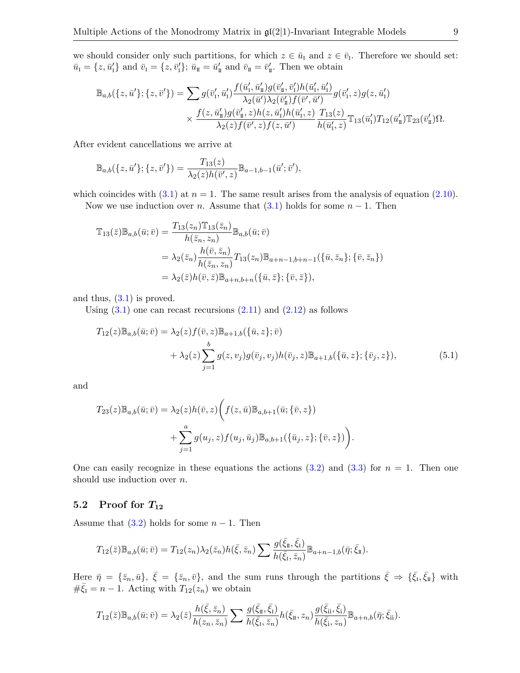we should consider only such partitions, for which  $z \in \bar{u}_I$  and  $z \in \bar{v}_I$ . Therefore we should set:  $\bar{u}_I = \{z, \bar{u}'_I\}$  and  $\bar{v}_I = \{z, \bar{v}'_I\}; \bar{u}_{II} = \bar{u}'_{II}$  and  $\bar{v}_{II} = \bar{v}'_{II}$ . Then we obtain

$$
\mathbb{B}_{a,b}(\{z,\bar{u}'\};\{z,\bar{v}'\}) = \sum g(\bar{v}'_1,\bar{u}'_1) \frac{f(\bar{u}'_1,\bar{u}'_1)g(\bar{v}'_1,\bar{v}'_1)h(\bar{u}'_1,\bar{u}'_1)}{\lambda_2(\bar{u}')\lambda_2(\bar{v}'_1)f(\bar{v}',\bar{u}')}g(\bar{v}'_1,z)g(z,\bar{u}'_1) \times \frac{f(z,\bar{u}'_1)g(\bar{v}'_1,z)h(z,\bar{u}'_1)h(\bar{u}'_1,z)}{\lambda_2(z)f(\bar{v}',z)f(z,\bar{u}')}\frac{T_{13}(z)}{h(\bar{u}'_1,z)}\mathbb{T}_{13}(\bar{u}'_1)T_{12}(\bar{u}'_1)\mathbb{T}_{23}(\bar{v}'_1)\Omega.
$$

After evident cancellations we arrive at

$$
\mathbb{B}_{a,b}(\{z,\bar{u}'\};\{z,\bar{v}'\}) = \frac{T_{13}(z)}{\lambda_2(z)h(\bar{v}',z)}\mathbb{B}_{a-1,b-1}(\bar{u}';\bar{v}'),
$$

which coincides with  $(3.1)$  at  $n = 1$ . The same result arises from the analysis of equation  $(2.10)$ .

Now we use induction over *n*. Assume that  $(3.1)$  holds for some  $n - 1$ . Then

$$
\mathbb{T}_{13}(\bar{z})\mathbb{B}_{a,b}(\bar{u};\bar{v}) = \frac{T_{13}(z_n)\mathbb{T}_{13}(\bar{z}_n)}{h(\bar{z}_n, z_n)}\mathbb{B}_{a,b}(\bar{u};\bar{v})
$$
  
\n
$$
= \lambda_2(\bar{z}_n) \frac{h(\bar{v}, \bar{z}_n)}{h(\bar{z}_n, z_n)} T_{13}(z_n) \mathbb{B}_{a+n-1,b+n-1}(\{\bar{u}, \bar{z}_n\}; \{\bar{v}, \bar{z}_n\})
$$
  
\n
$$
= \lambda_2(\bar{z})h(\bar{v}, \bar{z})\mathbb{B}_{a+n,b+n}(\{\bar{u}, \bar{z}\}; \{\bar{v}, \bar{z}\}),
$$

and thus,  $(3.1)$  is proved.

Using  $(3.1)$  one can recast recursions  $(2.11)$  and  $(2.12)$  as follows

<span id="page-8-0"></span>
$$
T_{12}(z)\mathbb{B}_{a,b}(\bar{u};\bar{v}) = \lambda_2(z)f(\bar{v},z)\mathbb{B}_{a+1,b}(\{\bar{u},z\};\bar{v}) + \lambda_2(z)\sum_{j=1}^b g(z,v_j)g(\bar{v}_j,v_j)h(\bar{v}_j,z)\mathbb{B}_{a+1,b}(\{\bar{u},z\};\{\bar{v}_j,z\}),
$$
(5.1)

and

$$
T_{23}(z)\mathbb{B}_{a,b}(\bar{u};\bar{v}) = \lambda_2(z)h(\bar{v},z)\bigg(f(z,\bar{u})\mathbb{B}_{a,b+1}(\bar{u};\{\bar{v},z\}) + \sum_{j=1}^a g(u_j,z)f(u_j,\bar{u}_j)\mathbb{B}_{a,b+1}(\{\bar{u}_j,z\};\{\bar{v},z\})\bigg).
$$

One can easily recognize in these equations the actions  $(3.2)$  and  $(3.3)$  for  $n = 1$ . Then one should use induction over *n*.

### 5.2 Proof for  $T_{12}$

Assume that  $(3.2)$  holds for some  $n-1$ . Then

$$
T_{12}(\bar{z})\mathbb{B}_{a,b}(\bar{u};\bar{v}) = T_{12}(z_n)\lambda_2(\bar{z}_n)h(\bar{\xi},\bar{z}_n)\sum \frac{g(\bar{\xi}_{\bar{\mathfrak{u}}},\bar{\xi}_{\bar{\mathfrak{u}}})}{h(\bar{\xi}_{\bar{\mathfrak{u}}},\bar{z}_n)}\mathbb{B}_{a+n-1,b}(\bar{\eta};\bar{\xi}_{\bar{\mathfrak{u}}}).
$$

Here  $\bar{\eta} = {\bar{z}_n, \bar{u}}$ ,  $\bar{\xi} = {\bar{z}_n, \bar{v}}$ , and the sum runs through the partitions  $\bar{\xi} \Rightarrow {\bar{\xi}_1, \bar{\xi}_1}$  with  $\#\bar{\xi}_1 = n-1$ . Acting with  $T_{12}(z_n)$  we obtain

$$
T_{12}(\bar{z})\mathbb{B}_{a,b}(\bar{u};\bar{v})=\lambda_2(\bar{z})\frac{h(\bar{\xi},\bar{z}_n)}{h(z_n,\bar{z}_n)}\sum \frac{g(\bar{\xi}_{\bar{\mathfrak{u}}},\bar{\xi}_{\bar{\mathfrak{l}}})}{h(\bar{\xi}_{\bar{\mathfrak{l}}},\bar{z}_n)}h(\bar{\xi}_{\bar{\mathfrak{u}}},z_n)\frac{g(\bar{\xi}_{\bar{\mathfrak{u}}},\bar{\xi}_{\bar{\mathfrak{l}}})}{h(\bar{\xi}_{\bar{\mathfrak{l}}},z_n)}\mathbb{B}_{a+n,b}(\bar{\eta};\bar{\xi}_{\bar{\mathfrak{u}}}).
$$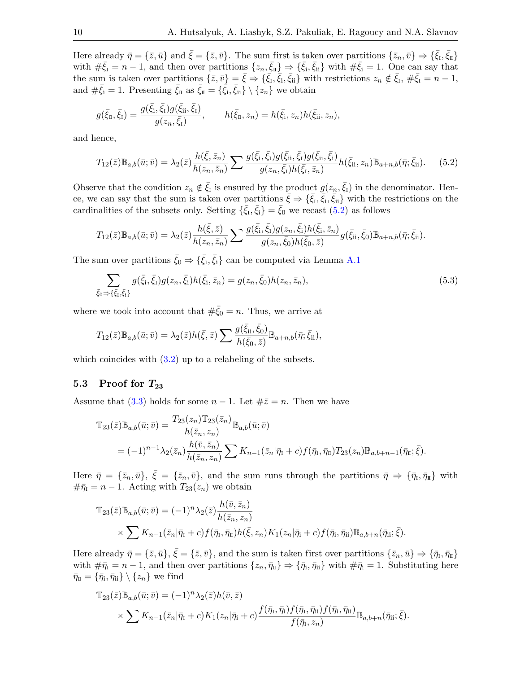Here already  $\bar{\eta} = \{\bar{z}, \bar{u}\}\$  and  $\bar{\xi} = \{\bar{z}, \bar{v}\}\$ . The sum first is taken over partitions  $\{\bar{z}_n, \bar{v}\}\Rightarrow \{\bar{\xi}_1, \bar{\xi}_1\}\$ with  $\#\bar{\xi}_I = n-1$ , and then over partitions  $\{z_n, \bar{\xi}_{\bar{n}}\} \Rightarrow \{\bar{\xi}_i, \bar{\xi}_{\bar{n}}\}$  with  $\#\bar{\xi}_i = 1$ . One can say that the sum is taken over partitions  $\{\bar{z}, \bar{v}\} = \bar{\xi} \Rightarrow \{\bar{\xi}_I, \bar{\xi}_i, \bar{\xi}_i\}$  with restrictions  $z_n \notin \bar{\xi}_I$ ,  $\#\bar{\xi}_I = n - 1$ , and  $\#\bar{\xi}_i = 1$ . Presenting  $\bar{\xi}_{\text{I\hspace{-.1em}I}}$  as  $\bar{\xi}_{\text{I\hspace{-.1em}I}} = {\{\bar{\xi}_i, \bar{\xi}_{ii}\}\setminus{\{z_n\}}\}$  we obtain

$$
g(\bar{\xi}_{\mathbb{I}}, \bar{\xi}_{\mathbb{I}}) = \frac{g(\bar{\xi}_{\mathbb{I}}, \bar{\xi}_{\mathbb{I}})g(\bar{\xi}_{\mathbb{I}\mathbb{I}}, \bar{\xi}_{\mathbb{I}})}{g(z_n, \bar{\xi}_{\mathbb{I}})}, \qquad h(\bar{\xi}_{\mathbb{I}}, z_n) = h(\bar{\xi}_{\mathbb{I}}, z_n)h(\bar{\xi}_{\mathbb{I}\mathbb{I}}, z_n),
$$

and hence,

<span id="page-9-0"></span>
$$
T_{12}(\bar{z})\mathbb{B}_{a,b}(\bar{u};\bar{v}) = \lambda_2(\bar{z})\frac{h(\bar{\xi},\bar{z}_n)}{h(z_n,\bar{z}_n)}\sum \frac{g(\bar{\xi}_i,\bar{\xi}_l)g(\bar{\xi}_{ii},\bar{\xi}_l)g(\bar{\xi}_{ii},\bar{\xi}_l)}{g(z_n,\bar{\xi}_l)h(\bar{\xi}_l,\bar{z}_n)}h(\bar{\xi}_{ii},z_n)\mathbb{B}_{a+n,b}(\bar{\eta};\bar{\xi}_{ii}).
$$
 (5.2)

Observe that the condition  $z_n \notin \bar{\xi}_I$  is ensured by the product  $g(z_n, \bar{\xi}_I)$  in the denominator. Hence, we can say that the sum is taken over partitions  $\bar{\xi} \Rightarrow {\{\bar{\xi}_I,\bar{\xi}_i,\bar{\xi}_i\}}$  with the restrictions on the cardinalities of the subsets only. Setting  $\{\bar{\xi}_I, \bar{\xi}_i\} = \bar{\xi}_0$  we recast  $(5.2)$  as follows

$$
T_{12}(\bar{z})\mathbb{B}_{a,b}(\bar{u};\bar{v}) = \lambda_2(\bar{z})\frac{h(\bar{\xi},\bar{z})}{h(z_n,\bar{z}_n)}\sum \frac{g(\bar{\xi}_i,\bar{\xi}_1)g(z_n,\bar{\xi}_i)h(\bar{\xi}_i,\bar{z}_n)}{g(z_n,\bar{\xi}_0)h(\bar{\xi}_0,\bar{z})}g(\bar{\xi}_{ii},\bar{\xi}_0)\mathbb{B}_{a+n,b}(\bar{\eta};\bar{\xi}_{ii}).
$$

The sum over partitions  $\bar{\xi}_0 \Rightarrow {\bar{\xi}_1, \bar{\xi}_i}$  can be computed via Lemma [A.1](#page-18-0)

<span id="page-9-1"></span>
$$
\sum_{\bar{\xi}_0 \to \{\bar{\xi}_1, \bar{\xi}_1\}} g(\bar{\xi}_1, \bar{\xi}_1) g(z_n, \bar{\xi}_1) h(\bar{\xi}_1, \bar{z}_n) = g(z_n, \bar{\xi}_0) h(z_n, \bar{z}_n),\tag{5.3}
$$

where we took into account that  $\#\bar{\xi}_0 = n$ . Thus, we arrive at

$$
T_{12}(\bar{z})\mathbb{B}_{a,b}(\bar{u};\bar{v})=\lambda_2(\bar{z})h(\bar{\xi},\bar{z})\sum \frac{g(\bar{\xi}_{\rm ii},\bar{\xi}_{\rm 0})}{h(\bar{\xi}_{\rm 0},\bar{z})}\mathbb{B}_{a+n,b}(\bar{\eta};\bar{\xi}_{\rm ii}),
$$

which coincides with  $(3.2)$  up to a relabeling of the subsets.

#### 5.3 Proof for  $T_{23}$

Assume that [\(3.3\)](#page-5-4) holds for some  $n-1$ . Let  $\#\bar{z}=n$ . Then we have

$$
\mathbb{T}_{23}(\bar{z})\mathbb{B}_{a,b}(\bar{u};\bar{v}) = \frac{T_{23}(z_n)\mathbb{T}_{23}(\bar{z}_n)}{h(\bar{z}_n,z_n)}\mathbb{B}_{a,b}(\bar{u};\bar{v})
$$
  
=  $(-1)^{n-1}\lambda_2(\bar{z}_n)\frac{h(\bar{v},\bar{z}_n)}{h(\bar{z}_n,z_n)}\sum K_{n-1}(\bar{z}_n|\bar{\eta}_1+c)f(\bar{\eta}_1,\bar{\eta}_1)T_{23}(z_n)\mathbb{B}_{a,b+n-1}(\bar{\eta}_1;\bar{\xi}).$ 

Here  $\bar{\eta} = {\bar{z}_n, \bar{u}}$ ,  $\bar{\xi} = {\bar{z}_n, \bar{v}}$ , and the sum runs through the partitions  $\bar{\eta} \Rightarrow {\bar{\eta}_1, \bar{\eta}_1}$  with  $\#\bar{\eta}_I = n - 1$ . Acting with  $T_{23}(z_n)$  we obtain

$$
\mathbb{T}_{23}(\bar{z})\mathbb{B}_{a,b}(\bar{u};\bar{v}) = (-1)^n \lambda_2(\bar{z}) \frac{h(\bar{v},\bar{z}_n)}{h(\bar{z}_n,z_n)} \times \sum K_{n-1}(\bar{z}_n|\bar{\eta}_1 + c) f(\bar{\eta}_1, \bar{\eta}_1) h(\bar{\xi}, z_n) K_1(z_n|\bar{\eta}_1 + c) f(\bar{\eta}_1, \bar{\eta}_1) \mathbb{B}_{a,b+n}(\bar{\eta}_1, \bar{\xi}).
$$

Here already  $\bar{\eta} = \{\bar{z}, \bar{u}\}, \bar{\xi} = \{\bar{z}, \bar{v}\},$  and the sum is taken first over partitions  $\{\bar{z}_n, \bar{u}\} \Rightarrow \{\bar{\eta}_1, \bar{\eta}_{\bar{u}}\}$ with  $\#\bar{\eta}_1 = n-1$ , and then over partitions  $\{z_n, \bar{\eta}_\mathbb{I}\}\Rightarrow \{\bar{\eta}_i, \bar{\eta}_{ii}\}\$  with  $\#\bar{\eta}_i = 1$ . Substituting here  $\bar{\eta}_{\rm II} = \{\bar{\eta}_{\rm i},\bar{\eta}_{\rm ii}\} \setminus \{z_n\}$  we find

$$
\mathbb{T}_{23}(\bar{z})\mathbb{B}_{a,b}(\bar{u};\bar{v}) = (-1)^n \lambda_2(\bar{z})h(\bar{v},\bar{z})
$$
  
\$\times \sum K\_{n-1}(\bar{z}\_n|\bar{\eta}\_1 + c)K\_1(z\_n|\bar{\eta}\_1 + c)\frac{f(\bar{\eta}\_1, \bar{\eta}\_i)f(\bar{\eta}\_1, \bar{\eta}\_i)f(\bar{\eta}\_i, \bar{\eta}\_i)}{f(\bar{\eta}\_1, z\_n)}\mathbb{B}\_{a,b+n}(\bar{\eta}\_i;\bar{\xi})\$.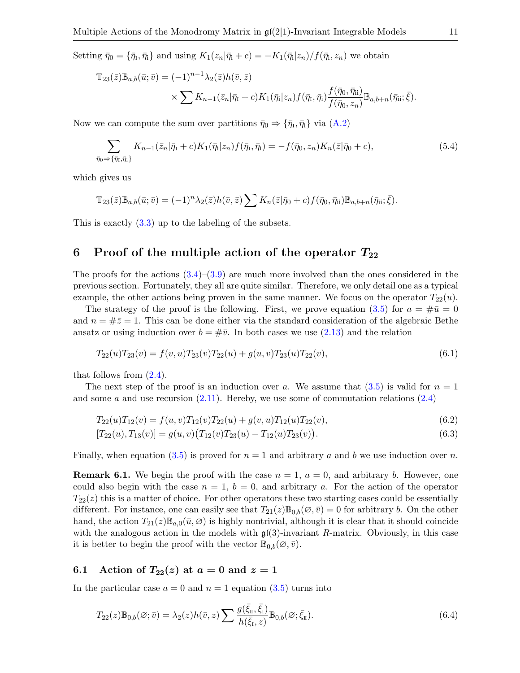Setting  $\bar{\eta}_0 = \{\bar{\eta}_1, \bar{\eta}_1\}$  and using  $K_1(z_n|\bar{\eta}_1 + c) = -K_1(\bar{\eta}_1|z_n)/f(\bar{\eta}_1, z_n)$  we obtain

$$
\mathbb{T}_{23}(\bar{z})\mathbb{B}_{a,b}(\bar{u};\bar{v}) = (-1)^{n-1}\lambda_2(\bar{z})h(\bar{v},\bar{z})
$$
  
\$\times \sum K\_{n-1}(\bar{z}\_n|\bar{\eta}\_1+c)K\_1(\bar{\eta}\_i|z\_n)f(\bar{\eta}\_i,\bar{\eta}\_i)\frac{f(\bar{\eta}\_0,\bar{\eta}\_{ii})}{f(\bar{\eta}\_0,z\_n)}\mathbb{B}\_{a,b+n}(\bar{\eta}\_{ii};\bar{\xi}).\$

Now we can compute the sum over partitions  $\bar{\eta}_0 \Rightarrow {\bar{\eta}_i, \bar{\eta}_i}$  via  $(A.2)$ 

<span id="page-10-4"></span>
$$
\sum_{\bar{\eta}_0 \Rightarrow {\{\bar{\eta}_1, \bar{\eta}_1\}}} K_{n-1}(\bar{z}_n | \bar{\eta}_1 + c) K_1(\bar{\eta}_1 | z_n) f(\bar{\eta}_1, \bar{\eta}_1) = -f(\bar{\eta}_0, z_n) K_n(\bar{z} | \bar{\eta}_0 + c),
$$
\n(5.4)

which gives us

$$
\mathbb{T}_{23}(\bar{z})\mathbb{B}_{a,b}(\bar{u};\bar{v})=(-1)^n\lambda_2(\bar{z})h(\bar{v},\bar{z})\sum K_n(\bar{z}|\bar{\eta}_0+c)f(\bar{\eta}_0,\bar{\eta}_{ii})\mathbb{B}_{a,b+n}(\bar{\eta}_{ii};\bar{\xi}).
$$

This is exactly [\(3.3\)](#page-5-4) up to the labeling of the subsets.

## 6 Proof of the multiple action of the operator  $T_{22}$

The proofs for the actions  $(3.4)$ – $(3.9)$  are much more involved than the ones considered in the previous section. Fortunately, they all are quite similar. Therefore, we only detail one as a typical example, the other actions being proven in the same manner. We focus on the operator  $T_{22}(u)$ .

The strategy of the proof is the following. First, we prove equation [\(3.5\)](#page-5-5) for  $a = #\bar{u} = 0$ and  $n = \frac{1}{2}\bar{z} = 1$ . This can be done either via the standard consideration of the algebraic Bethe ansatz or using induction over  $b = #\bar{v}$ . In both cases we use [\(2.13\)](#page-4-4) and the relation

<span id="page-10-0"></span>
$$
T_{22}(u)T_{23}(v) = f(v, u)T_{23}(v)T_{22}(u) + g(u, v)T_{23}(u)T_{22}(v),
$$
\n(6.1)

that follows from  $(2.4)$ .

The next step of the proof is an induction over a. We assume that  $(3.5)$  is valid for  $n = 1$ and some a and use recursion  $(2.11)$ . Hereby, we use some of commutation relations  $(2.4)$ 

$$
T_{22}(u)T_{12}(v) = f(u,v)T_{12}(v)T_{22}(u) + g(v,u)T_{12}(u)T_{22}(v),
$$
\n(6.2)

<span id="page-10-3"></span><span id="page-10-2"></span>
$$
[T_{22}(u), T_{13}(v)] = g(u, v) (T_{12}(v) T_{23}(u) - T_{12}(u) T_{23}(v)).
$$
\n(6.3)

Finally, when equation [\(3.5\)](#page-5-5) is proved for  $n = 1$  and arbitrary a and b we use induction over n.

**Remark 6.1.** We begin the proof with the case  $n = 1$ ,  $a = 0$ , and arbitrary b. However, one could also begin with the case  $n = 1$ ,  $b = 0$ , and arbitrary a. For the action of the operator  $T_{22}(z)$  this is a matter of choice. For other operators these two starting cases could be essentially different. For instance, one can easily see that  $T_{21}(z)\mathbb{B}_{0,b}(\emptyset,\bar{v})=0$  for arbitrary b. On the other hand, the action  $T_{21}(z)\mathbb{B}_{a,0}(\bar{u},\varnothing)$  is highly nontrivial, although it is clear that it should coincide with the analogous action in the models with  $\mathfrak{gl}(3)$ -invariant R-matrix. Obviously, in this case it is better to begin the proof with the vector  $\mathbb{B}_{0,b}(\emptyset,\bar{v})$ .

#### 6.1 Action of  $T_{22}(z)$  at  $a=0$  and  $z=1$

In the particular case  $a = 0$  and  $n = 1$  equation  $(3.5)$  turns into

<span id="page-10-1"></span>
$$
T_{22}(z)\mathbb{B}_{0,b}(\varnothing;\bar{v}) = \lambda_2(z)h(\bar{v},z)\sum \frac{g(\bar{\xi}_{\mathbb{I}},\bar{\xi}_{\mathbb{I}})}{h(\bar{\xi}_{\mathbb{I}},z)}\mathbb{B}_{0,b}(\varnothing;\bar{\xi}_{\mathbb{I}}).
$$
\n(6.4)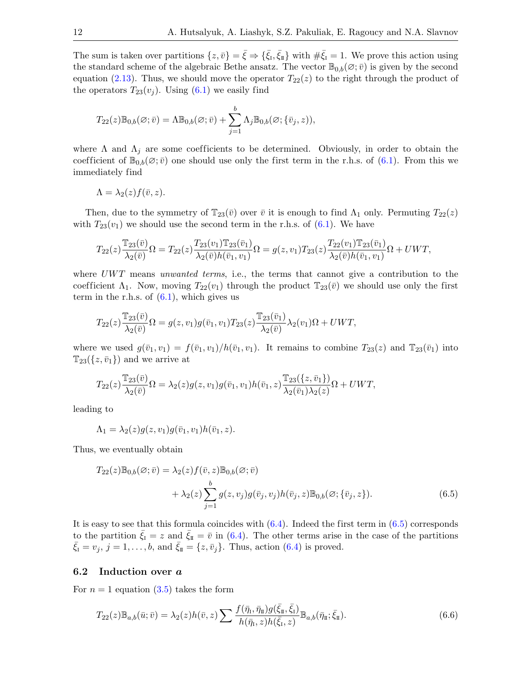The sum is taken over partitions  $\{z,\bar{v}\} = \bar{\xi} \Rightarrow \{\bar{\xi}_I, \bar{\xi}_{\bar{I}}\}$  with  $\#\bar{\xi}_I = 1$ . We prove this action using the standard scheme of the algebraic Bethe ansatz. The vector  $\mathbb{B}_{0,b}(\varnothing;\bar{v})$  is given by the second equation [\(2.13\)](#page-4-4). Thus, we should move the operator  $T_{22}(z)$  to the right through the product of the operators  $T_{23}(v_i)$ . Using  $(6.1)$  we easily find

$$
T_{22}(z)\mathbb{B}_{0,b}(\varnothing;\bar{v})=\Lambda\mathbb{B}_{0,b}(\varnothing;\bar{v})+\sum_{j=1}^b\Lambda_j\mathbb{B}_{0,b}(\varnothing;\{\bar{v}_j,z)),
$$

where  $\Lambda$  and  $\Lambda_j$  are some coefficients to be determined. Obviously, in order to obtain the coefficient of  $\mathbb{B}_{0,b}(\emptyset;\bar{v})$  one should use only the first term in the r.h.s. of  $(6.1)$ . From this we immediately find

$$
\Lambda = \lambda_2(z) f(\bar{v}, z).
$$

Then, due to the symmetry of  $\mathbb{T}_{23}(\bar{v})$  over  $\bar{v}$  it is enough to find  $\Lambda_1$  only. Permuting  $T_{22}(z)$ with  $T_{23}(v_1)$  we should use the second term in the r.h.s. of [\(6.1\)](#page-10-0). We have

$$
T_{22}(z)\frac{\mathbb{T}_{23}(\bar{v})}{\lambda_2(\bar{v})}\Omega = T_{22}(z)\frac{T_{23}(v_1)\mathbb{T}_{23}(\bar{v}_1)}{\lambda_2(\bar{v})h(\bar{v}_1,v_1)}\Omega = g(z,v_1)T_{23}(z)\frac{T_{22}(v_1)\mathbb{T}_{23}(\bar{v}_1)}{\lambda_2(\bar{v})h(\bar{v}_1,v_1)}\Omega + UWT,
$$

where  $UWT$  means unwanted terms, i.e., the terms that cannot give a contribution to the coefficient  $\Lambda_1$ . Now, moving  $T_{22}(v_1)$  through the product  $\mathbb{T}_{23}(\bar{v})$  we should use only the first term in the r.h.s. of  $(6.1)$ , which gives us

$$
T_{22}(z)\frac{\mathbb{T}_{23}(\bar{v})}{\lambda_2(\bar{v})}\Omega=g(z,v_1)g(\bar{v}_1,v_1)T_{23}(z)\frac{\mathbb{T}_{23}(\bar{v}_1)}{\lambda_2(\bar{v})}\lambda_2(v_1)\Omega+UWT,
$$

where we used  $g(\bar{v}_1, v_1) = f(\bar{v}_1, v_1)/h(\bar{v}_1, v_1)$ . It remains to combine  $T_{23}(z)$  and  $T_{23}(\bar{v}_1)$  into  $\mathbb{T}_{23}(\{z,\bar{v}_1\})$  and we arrive at

$$
T_{22}(z)\frac{\mathbb{T}_{23}(\bar{v})}{\lambda_2(\bar{v})}\Omega=\lambda_2(z)g(z,v_1)g(\bar{v}_1,v_1)h(\bar{v}_1,z)\frac{\mathbb{T}_{23}(\{z,\bar{v}_1\})}{\lambda_2(\bar{v}_1)\lambda_2(z)}\Omega+UWT,
$$

leading to

$$
\Lambda_1 = \lambda_2(z)g(z,v_1)g(\bar{v}_1,v_1)h(\bar{v}_1,z).
$$

Thus, we eventually obtain

<span id="page-11-0"></span>
$$
T_{22}(z)\mathbb{B}_{0,b}(\varnothing;\bar{v}) = \lambda_2(z)f(\bar{v},z)\mathbb{B}_{0,b}(\varnothing;\bar{v})
$$
  
+ 
$$
\lambda_2(z)\sum_{j=1}^b g(z,v_j)g(\bar{v}_j,v_j)h(\bar{v}_j,z)\mathbb{B}_{0,b}(\varnothing;\{\bar{v}_j,z\}).
$$
 (6.5)

It is easy to see that this formula coincides with  $(6.4)$ . Indeed the first term in  $(6.5)$  corresponds to the partition  $\xi_{\text{I}} = z$  and  $\xi_{\text{II}} = \bar{v}$  in [\(6.4\)](#page-10-1). The other terms arise in the case of the partitions  $\bar{\xi}_I = v_j$ ,  $j = 1, \ldots, b$ , and  $\bar{\xi}_{II} = \{z, \bar{v}_j\}$ . Thus, action [\(6.4\)](#page-10-1) is proved.

#### 6.2 Induction over a

For  $n = 1$  equation [\(3.5\)](#page-5-5) takes the form

<span id="page-11-1"></span>
$$
T_{22}(z)\mathbb{B}_{a,b}(\bar{u};\bar{v}) = \lambda_2(z)h(\bar{v},z)\sum \frac{f(\bar{\eta}_1,\bar{\eta}_1)g(\bar{\xi}_1,\bar{\xi}_1)}{h(\bar{\eta}_1,z)h(\bar{\xi}_1,z)}\mathbb{B}_{a,b}(\bar{\eta}_1;\bar{\xi}_1).
$$
(6.6)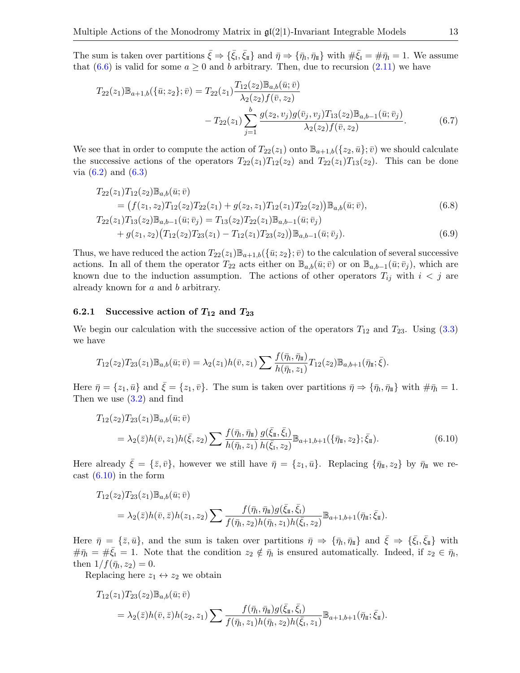The sum is taken over partitions  $\bar{\xi} \Rightarrow {\bar{\xi}_I, \bar{\xi}_{\bar{I}}}$  and  $\bar{\eta} \Rightarrow {\bar{\eta}_I, \bar{\eta}_{\bar{I}}}$  with  $\bar{\eta} \bar{\xi}_I = \bar{\eta}_I = 1$ . We assume that [\(6.6\)](#page-11-1) is valid for some  $a \ge 0$  and b arbitrary. Then, due to recursion [\(2.11\)](#page-4-2) we have

<span id="page-12-3"></span>
$$
T_{22}(z_1)\mathbb{B}_{a+1,b}(\{\bar{u};z_2\};\bar{v}) = T_{22}(z_1)\frac{T_{12}(z_2)\mathbb{B}_{a,b}(\bar{u};\bar{v})}{\lambda_2(z_2)f(\bar{v},z_2)} - T_{22}(z_1)\sum_{j=1}^b \frac{g(z_2,v_j)g(\bar{v}_j,v_j)T_{13}(z_2)\mathbb{B}_{a,b-1}(\bar{u};\bar{v}_j)}{\lambda_2(z_2)f(\bar{v},z_2)}.
$$
(6.7)

We see that in order to compute the action of  $T_{22}(z_1)$  onto  $\mathbb{B}_{a+1,b}(\{z_2,\bar{u}\};\bar{v})$  we should calculate the successive actions of the operators  $T_{22}(z_1)T_{12}(z_2)$  and  $T_{22}(z_1)T_{13}(z_2)$ . This can be done via  $(6.2)$  and  $(6.3)$ 

$$
T_{22}(z_1)T_{12}(z_2)\mathbb{B}_{a,b}(\bar{u};\bar{v})
$$
  
=  $(f(z_1, z_2)T_{12}(z_2)T_{22}(z_1) + g(z_2, z_1)T_{12}(z_1)T_{22}(z_2))\mathbb{B}_{a,b}(\bar{u};\bar{v}),$   

$$
T_{22}(z_1)T_{13}(z_2)\mathbb{B}_{a,b-1}(\bar{u};\bar{v}_j) = T_{13}(z_2)T_{22}(z_1)\mathbb{B}_{a,b-1}(\bar{u};\bar{v}_j)
$$
 (6.8)

<span id="page-12-2"></span><span id="page-12-1"></span>+ 
$$
g(z_1, z_2) (T_{12}(z_2) T_{23}(z_1) - T_{12}(z_1) T_{23}(z_2)) \mathbb{B}_{a, b-1}(\bar{u}; \bar{v}_j).
$$
 (6.9)

Thus, we have reduced the action  $T_{22}(z_1)\mathbb{B}_{a+1,b}(\{\bar{u}; z_2\};\bar{v})$  to the calculation of several successive actions. In all of them the operator  $T_{22}$  acts either on  $\mathbb{B}_{a,b}(\bar{u}; \bar{v})$  or on  $\mathbb{B}_{a,b-1}(\bar{u}; \bar{v}_j)$ , which are known due to the induction assumption. The actions of other operators  $T_{ij}$  with  $i < j$  are already known for a and b arbitrary.

## 6.2.1 Successive action of  $T_{12}$  and  $T_{23}$

We begin our calculation with the successive action of the operators  $T_{12}$  and  $T_{23}$ . Using [\(3.3\)](#page-5-4) we have

$$
T_{12}(z_2)T_{23}(z_1)\mathbb{B}_{a,b}(\bar{u};\bar{v})=\lambda_2(z_1)h(\bar{v},z_1)\sum \frac{f(\bar{\eta}_1,\bar{\eta}_1)}{h(\bar{\eta}_1,z_1)}T_{12}(z_2)\mathbb{B}_{a,b+1}(\bar{\eta}_1;\bar{\xi}).
$$

Here  $\bar{\eta} = \{z_1, \bar{u}\}\$ and  $\bar{\xi} = \{z_1, \bar{v}\}\$ . The sum is taken over partitions  $\bar{\eta} \Rightarrow \{\bar{\eta}_1, \bar{\eta}_1\}$  with  $\#\bar{\eta}_1 = 1$ . Then we use  $(3.2)$  and find

<span id="page-12-0"></span>
$$
T_{12}(z_2)T_{23}(z_1)\mathbb{B}_{a,b}(\bar{u};\bar{v})
$$
  
=  $\lambda_2(\bar{z})h(\bar{v},z_1)h(\bar{\xi},z_2)\sum \frac{f(\bar{\eta}_1,\bar{\eta}_1)}{h(\bar{\eta}_1,z_1)}\frac{g(\bar{\xi}_1,\bar{\xi}_1)}{h(\bar{\xi}_1,z_2)}\mathbb{B}_{a+1,b+1}(\{\bar{\eta}_1,z_2\};\bar{\xi}_1).$  (6.10)

Here already  $\bar{\xi} = {\bar{z}, \bar{v}}$ , however we still have  $\bar{\eta} = {z_1, \bar{u}}$ . Replacing  ${\bar{\eta}}_{\bar{z}}$ ,  $z_2$  by  $\bar{\eta}_{\bar{z}}$  we recast  $(6.10)$  in the form

$$
T_{12}(z_2)T_{23}(z_1)\mathbb{B}_{a,b}(\bar{u};\bar{v})
$$
  
=  $\lambda_2(\bar{z})h(\bar{v},\bar{z})h(z_1,z_2)\sum \frac{f(\bar{\eta}_1,\bar{\eta}_1)g(\bar{\xi}_1,\bar{\xi}_1)}{f(\bar{\eta}_1,z_2)h(\bar{\eta}_1,z_1)h(\bar{\xi}_1,z_2)}\mathbb{B}_{a+1,b+1}(\bar{\eta}_1;\bar{\xi}_1).$ 

Here  $\bar{\eta} = {\bar{z}, \bar{u}}$ , and the sum is taken over partitions  $\bar{\eta} \Rightarrow {\bar{\eta}}_I, \bar{\eta}_{II}$  and  $\bar{\xi} \Rightarrow {\bar{\xi}}_I, \bar{\xi}_{II}$  with  $\#\bar{\eta}_I = \#\bar{\xi}_I = 1$ . Note that the condition  $z_2 \notin \bar{\eta}_I$  is ensured automatically. Indeed, if  $z_2 \in \bar{\eta}_I$ , then  $1/f(\bar{\eta}_1, z_2) = 0.$ 

Replacing here  $z_1 \leftrightarrow z_2$  we obtain

$$
T_{12}(z_1)T_{23}(z_2)\mathbb{B}_{a,b}(\bar{u};\bar{v})
$$
  
=  $\lambda_2(\bar{z})h(\bar{v},\bar{z})h(z_2,z_1)\sum \frac{f(\bar{\eta}_I,\bar{\eta}_I)g(\bar{\xi}_I,\bar{\xi}_I)}{f(\bar{\eta}_I,z_1)h(\bar{\eta}_I,z_2)h(\bar{\xi}_I,z_1)}\mathbb{B}_{a+1,b+1}(\bar{\eta}_I,\bar{\xi}_I).$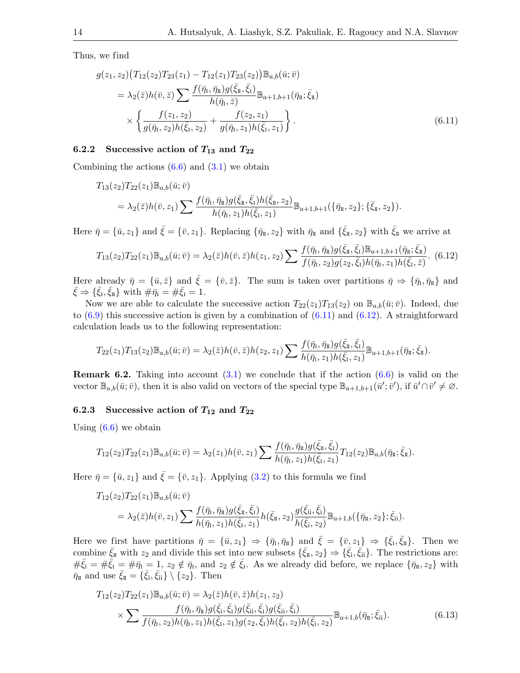Thus, we find

<span id="page-13-0"></span>
$$
g(z_1, z_2) (T_{12}(z_2) T_{23}(z_1) - T_{12}(z_1) T_{23}(z_2)) \mathbb{B}_{a,b}(\bar{u}; \bar{v})
$$
  
\n
$$
= \lambda_2(\bar{z}) h(\bar{v}, \bar{z}) \sum \frac{f(\bar{\eta}_1, \bar{\eta}_1) g(\bar{\xi}_1, \bar{\xi}_1)}{h(\bar{\eta}_1, \bar{z})} \mathbb{B}_{a+1,b+1}(\bar{\eta}_1; \bar{\xi}_1)
$$
  
\n
$$
\times \left\{ \frac{f(z_1, z_2)}{g(\bar{\eta}_1, z_2) h(\bar{\xi}_1, z_2)} + \frac{f(z_2, z_1)}{g(\bar{\eta}_1, z_1) h(\bar{\xi}_1, z_1)} \right\}.
$$
 (6.11)

#### 6.2.2 Successive action of  $T_{13}$  and  $T_{22}$

Combining the actions  $(6.6)$  and  $(3.1)$  we obtain

$$
T_{13}(z_2)T_{22}(z_1)\mathbb{B}_{a,b}(\bar{u};\bar{v})
$$
  
=  $\lambda_2(\bar{z})h(\bar{v},z_1)\sum \frac{f(\bar{\eta}_1,\bar{\eta}_1)g(\bar{\xi}_1,\bar{\xi}_1)h(\bar{\xi}_1,z_2)}{h(\bar{\eta}_1,z_1)h(\bar{\xi}_1,z_1)}\mathbb{B}_{a+1,b+1}(\{\bar{\eta}_1,z_2\};\{\bar{\xi}_1,z_2\}).$ 

Here  $\bar{\eta} = {\bar{u}, z_1}$  and  $\bar{\xi} = {\bar{v}, z_1}$ . Replacing  ${\bar{\eta}_{\scriptscriptstyle \rm I\hspace{-1pt}I}}$ , with  $\bar{\eta}_{\scriptscriptstyle \rm I\hspace{-1pt}I}$  and  ${\bar{\xi}_{\scriptscriptstyle \rm I\hspace{-1pt}I}}$ , with  $\bar{\xi}_{\scriptscriptstyle \rm I\hspace{-1pt}I}$  we arrive at

<span id="page-13-1"></span>
$$
T_{13}(z_2)T_{22}(z_1)\mathbb{B}_{a,b}(\bar{u};\bar{v}) = \lambda_2(\bar{z})h(\bar{v},\bar{z})h(z_1,z_2)\sum \frac{f(\bar{\eta}_1,\bar{\eta}_1)g(\bar{\xi}_1,\bar{\xi}_1)\mathbb{B}_{a+1,b+1}(\bar{\eta}_1,\bar{\xi}_1)}{f(\bar{\eta}_1,z_2)g(z_2,\bar{\xi}_1)h(\bar{\eta}_1,z_1)h(\bar{\xi}_1,\bar{z})}.
$$
(6.12)

Here already  $\bar{\eta} = {\bar{u}, \bar{z}}$  and  $\bar{\xi} = {\bar{v}, \bar{z}}$ . The sum is taken over partitions  $\bar{\eta} \Rightarrow {\bar{\eta}_I, \bar{\eta}_I}$  and  $\bar{\xi} \Rightarrow {\bar{\xi_1}, \bar{\xi_1}}$  with  $\#\bar{\eta_1} = \#\bar{\xi_1} = 1$ .

Now we are able to calculate the successive action  $T_{22}(z_1)T_{13}(z_2)$  on  $\mathbb{B}_{a,b}(\bar{u};\bar{v})$ . Indeed, due to  $(6.9)$  this successive action is given by a combination of  $(6.11)$  and  $(6.12)$ . A straightforward calculation leads us to the following representation:

$$
T_{22}(z_1)T_{13}(z_2)\mathbb{B}_{a,b}(\bar{u};\bar{v})=\lambda_2(\bar{z})h(\bar{v},\bar{z})h(z_2,z_1)\sum\frac{f(\bar{\eta}_1,\bar{\eta}_1)g(\bar{\xi}_1,\bar{\xi}_1)}{h(\bar{\eta}_1,z_1)h(\bar{\xi}_1,z_1)}\mathbb{B}_{a+1,b+1}(\bar{\eta}_1,\bar{\xi}_1).
$$

<span id="page-13-3"></span>**Remark 6.2.** Taking into account  $(3.1)$  we conclude that if the action  $(6.6)$  is valid on the vector  $\mathbb{B}_{a,b}(\bar{u};\bar{v})$ , then it is also valid on vectors of the special type  $\mathbb{B}_{a+1,b+1}(\bar{u}';\bar{v}')$ , if  $\bar{u}' \cap \bar{v}' \neq \emptyset$ .

#### 6.2.3 Successive action of  $T_{12}$  and  $T_{22}$

Using  $(6.6)$  we obtain

$$
T_{12}(z_2)T_{22}(z_1)\mathbb{B}_{a,b}(\bar{u};\bar{v})=\lambda_2(z_1)h(\bar{v},z_1)\sum \frac{f(\bar{\eta}_1,\bar{\eta}_1)g(\bar{\xi}_1,\bar{\xi}_1)}{h(\bar{\eta}_1,z_1)h(\bar{\xi}_1,z_1)}T_{12}(z_2)\mathbb{B}_{a,b}(\bar{\eta}_1;\bar{\xi}_1).
$$

Here  $\bar{\eta} = {\bar{u}, z_1}$  and  $\bar{\xi} = {\bar{v}, z_1}$ . Applying [\(3.2\)](#page-5-3) to this formula we find

$$
T_{12}(z_2)T_{22}(z_1)\mathbb{B}_{a,b}(\bar{u};\bar{v})
$$
  
=  $\lambda_2(\bar{z})h(\bar{v},z_1)\sum \frac{f(\bar{\eta}_t,\bar{\eta}_\pi)g(\bar{\xi}_\pi,\bar{\xi}_1)}{h(\bar{\eta}_t,z_1)h(\bar{\xi}_t,z_1)}h(\bar{\xi}_\pi,z_2)\frac{g(\bar{\xi}_{ii},\bar{\xi}_i)}{h(\bar{\xi}_i,z_2)}\mathbb{B}_{a+1,b}(\{\bar{\eta}_\pi,z_2\};\bar{\xi}_{ii}).$ 

Here we first have partitions  $\bar{\eta} = {\bar{u}, z_1} \Rightarrow {\bar{\eta}_I, \bar{\eta}_I}$  and  $\bar{\xi} = {\bar{v}, z_1} \Rightarrow {\bar{\xi}_I, \bar{\xi}_I}$ . Then we combine  $\bar{\xi}_{\mathbb{I}}$  with  $z_2$  and divide this set into new subsets  $\{\bar{\xi}_{\mathbb{I}}, z_2\} \Rightarrow \{\bar{\xi}_{\mathbb{I}}, \bar{\xi}_{\mathbb{I}}\}$ . The restrictions are:  $\#\bar{\xi}_i = \#\bar{\xi}_i = \#\bar{\eta}_i = 1$ ,  $z_2 \notin \bar{\eta}_i$ , and  $z_2 \notin \bar{\xi}_i$ . As we already did before, we replace  $\{\bar{\eta}_I, z_2\}$  with  $\bar{\eta}_{\scriptscriptstyle \rm I\hspace{-1pt}I}$  and use  $\bar{\xi}_{\scriptscriptstyle \rm I\hspace{-1pt}I}=\{\bar{\xi}_{\rm i},\bar{\xi}_{\rm ii}\}\setminus\{z_2\}$ . Then

<span id="page-13-2"></span>
$$
T_{12}(z_2)T_{22}(z_1)\mathbb{B}_{a,b}(\bar{u};\bar{v}) = \lambda_2(\bar{z})h(\bar{v},\bar{z})h(z_1,z_2)
$$
  
\$\times \sum \frac{f(\bar{\eta}\_1, \bar{\eta}\_1)g(\bar{\xi}\_1, \bar{\xi}\_1)g(\bar{\xi}\_1, \bar{\xi}\_1)g(\bar{\xi}\_1, \bar{\xi}\_1)}{f(\bar{\eta}\_1, z\_2)h(\bar{\eta}\_1, z\_1)h(\bar{\xi}\_1, z\_1)g(z\_2, \bar{\xi}\_1)h(\bar{\xi}\_1, z\_2)h(\bar{\xi}\_1, z\_2)}\mathbb{B}\_{a+1,b}(\bar{\eta}\_1; \bar{\xi}\_1). (6.13)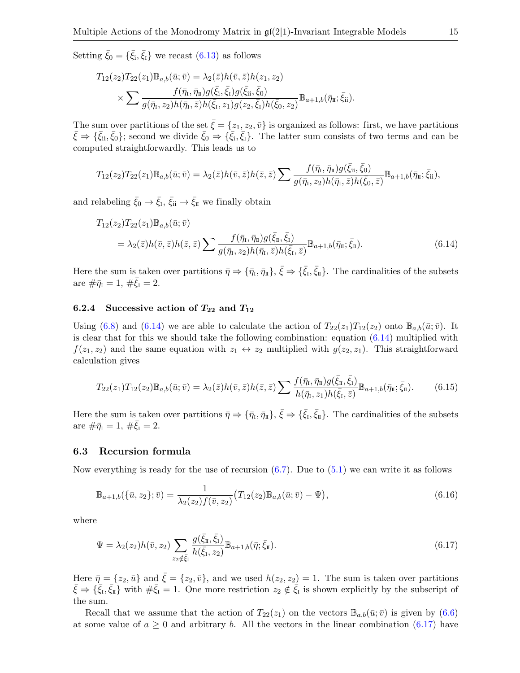Setting  $\bar{\xi}_0 = {\bar{\xi}_i, \bar{\xi}_I}$  we recast [\(6.13\)](#page-13-2) as follows

$$
T_{12}(z_2)T_{22}(z_1)\mathbb{B}_{a,b}(\bar{u};\bar{v}) = \lambda_2(\bar{z})h(\bar{v},\bar{z})h(z_1,z_2)
$$
  
\$\times \sum \frac{f(\bar{\eta}\_1, \bar{\eta}\_1)g(\bar{\xi}\_1, \bar{\xi}\_1)g(\bar{\xi}\_1, \bar{\xi}\_0)}{g(\bar{\eta}\_1, z\_2)h(\bar{\eta}\_1, \bar{z})h(\bar{\xi}\_1, z\_1)g(z\_2, \bar{\xi}\_1)h(\bar{\xi}\_0, z\_2)}\mathbb{B}\_{a+1,b}(\bar{\eta}\_1, \bar{\xi}\_1).

The sum over partitions of the set  $\bar{\xi} = \{z_1, z_2, \bar{v}\}\$ is organized as follows: first, we have partitions  $\bar{\xi} \Rightarrow {\bar{\xi}_{ii}, \bar{\xi}_0}$ ; second we divide  $\bar{\xi}_0 \Rightarrow {\bar{\xi}_i, \bar{\xi}_1}$ . The latter sum consists of two terms and can be computed straightforwardly. This leads us to

$$
T_{12}(z_2)T_{22}(z_1)\mathbb{B}_{a,b}(\bar{u};\bar{v})=\lambda_2(\bar{z})h(\bar{v},\bar{z})h(\bar{z},\bar{z})\sum \frac{f(\bar{\eta}_\mathrm{I},\bar{\eta}_\mathrm{II})g(\bar{\xi}_{\mathrm{ii}},\bar{\xi}_0)}{g(\bar{\eta}_\mathrm{I},z_2)h(\bar{\eta}_\mathrm{I},\bar{z})h(\bar{\xi}_0,\bar{z})}\mathbb{B}_{a+1,b}(\bar{\eta}_\mathrm{II};\bar{\xi}_{\mathrm{ii}}),
$$

and relabeling  $\bar{\xi}_0 \to \bar{\xi}_I$ ,  $\bar{\xi}_{ii} \to \bar{\xi}_{\bar{\mu}}$  we finally obtain

<span id="page-14-0"></span>
$$
T_{12}(z_2)T_{22}(z_1)\mathbb{B}_{a,b}(\bar{u};\bar{v})
$$
  
=  $\lambda_2(\bar{z})h(\bar{v},\bar{z})h(\bar{z},\bar{z})\sum \frac{f(\bar{\eta}_t,\bar{\eta}_t)g(\bar{\xi}_t,\bar{\xi}_1)}{g(\bar{\eta}_t,z_2)h(\bar{\eta}_t,\bar{z})h(\bar{\xi}_t,\bar{z})}\mathbb{B}_{a+1,b}(\bar{\eta}_t;\bar{\xi}_t).$  (6.14)

Here the sum is taken over partitions  $\bar{\eta} \Rightarrow {\bar{\eta}_1, \bar{\eta}_1}, \bar{\zeta} \Rightarrow {\bar{\xi}_1, \bar{\xi}_1}.$  The cardinalities of the subsets are  $\#\bar{\eta}_I = 1, \, \#\bar{\xi}_I = 2.$ 

## 6.2.4 Successive action of  $T_{22}$  and  $T_{12}$

Using [\(6.8\)](#page-12-2) and [\(6.14\)](#page-14-0) we are able to calculate the action of  $T_{22}(z_1)T_{12}(z_2)$  onto  $\mathbb{B}_{a,b}(\bar{u};\bar{v})$ . It is clear that for this we should take the following combination: equation [\(6.14\)](#page-14-0) multiplied with  $f(z_1, z_2)$  and the same equation with  $z_1 \leftrightarrow z_2$  multiplied with  $g(z_2, z_1)$ . This straightforward calculation gives

<span id="page-14-2"></span>
$$
T_{22}(z_1)T_{12}(z_2)\mathbb{B}_{a,b}(\bar{u};\bar{v}) = \lambda_2(\bar{z})h(\bar{v},\bar{z})h(\bar{z},\bar{z})\sum \frac{f(\bar{\eta}_i,\bar{\eta}_i)g(\bar{\xi}_i,\bar{\xi}_i)}{h(\bar{\eta}_i,z_1)h(\bar{\xi}_i,\bar{z})}\mathbb{B}_{a+1,b}(\bar{\eta}_i;\bar{\xi}_i). \tag{6.15}
$$

Here the sum is taken over partitions  $\bar{\eta} \Rightarrow {\bar{\eta}_1, \bar{\eta}_1}, \bar{\zeta} \Rightarrow {\bar{\xi}_1, \bar{\xi}_1}.$  The cardinalities of the subsets are  $\#\bar{\eta}_I = 1, \, \#\bar{\xi}_I = 2.$ 

#### 6.3 Recursion formula

Now everything is ready for the use of recursion  $(6.7)$ . Due to  $(5.1)$  we can write it as follows

<span id="page-14-3"></span>
$$
\mathbb{B}_{a+1,b}(\{\bar{u},z_2\};\bar{v}) = \frac{1}{\lambda_2(z_2)f(\bar{v},z_2)}(T_{12}(z_2)\mathbb{B}_{a,b}(\bar{u};\bar{v}) - \Psi),\tag{6.16}
$$

where

<span id="page-14-1"></span>
$$
\Psi = \lambda_2(z_2)h(\bar{v}, z_2) \sum_{z_2 \notin \bar{\xi}_1} \frac{g(\bar{\xi}_1, \bar{\xi}_1)}{h(\bar{\xi}_1, z_2)} \mathbb{B}_{a+1,b}(\bar{\eta}; \bar{\xi}_1).
$$
(6.17)

Here  $\bar{\eta} = \{z_2, \bar{u}\}\$ and  $\bar{\xi} = \{z_2, \bar{v}\}\$ , and we used  $h(z_2, z_2) = 1$ . The sum is taken over partitions  $\bar{\xi} \Rightarrow {\{\bar{\xi}_I,\bar{\xi}_{\bar{I}}\}}$  with  $\#\bar{\xi}_I = 1$ . One more restriction  $z_2 \notin \bar{\xi}_I$  is shown explicitly by the subscript of the sum.

Recall that we assume that the action of  $T_{22}(z_1)$  on the vectors  $\mathbb{B}_{a,b}(\bar{u};\bar{v})$  is given by [\(6.6\)](#page-11-1) at some value of  $a \geq 0$  and arbitrary b. All the vectors in the linear combination [\(6.17\)](#page-14-1) have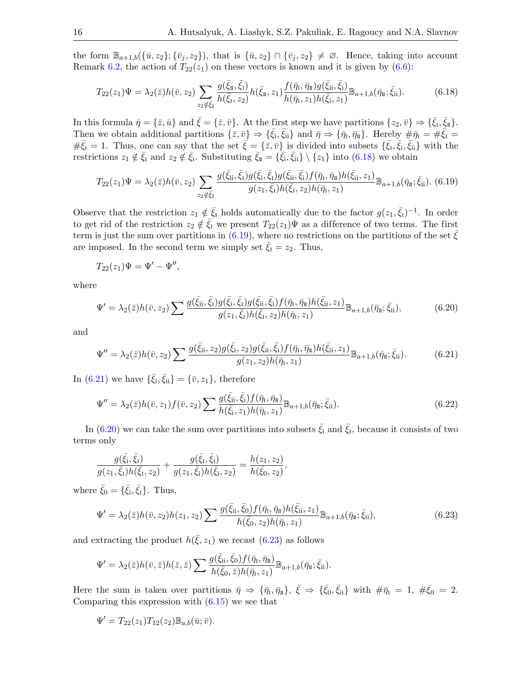the form  $\mathbb{B}_{a+1,b}(\{\bar{u},z_2\}; \{\bar{v}_j,z_2\})$ , that is  $\{\bar{u},z_2\} \cap \{\bar{v}_j,z_2\} \neq \emptyset$ . Hence, taking into account Remark [6.2,](#page-13-3) the action of  $T_{22}(z_1)$  on these vectors is known and it is given by [\(6.6\)](#page-11-1):

<span id="page-15-0"></span>
$$
T_{22}(z_1)\Psi = \lambda_2(\bar{z})h(\bar{v}, z_2) \sum_{z_2 \notin \bar{\xi}_1} \frac{g(\bar{\xi}_{\bar{\mathbf{n}}}, \bar{\xi}_{\bar{\mathbf{n}}})}{h(\bar{\xi}_{\bar{\mathbf{n}}}, z_2)} h(\bar{\xi}_{\bar{\mathbf{n}}}, z_1) \frac{f(\bar{\eta}_{\bar{\mathbf{n}}}, \bar{\eta}_{\bar{\mathbf{n}}})g(\bar{\xi}_{\bar{\mathbf{i}}}, \bar{\xi}_{\bar{\mathbf{i}}})}{h(\bar{\eta}_{\bar{\mathbf{n}}}, z_1)h(\bar{\xi}_{\bar{\mathbf{i}}}, z_1)} \mathbb{B}_{a+1,b}(\bar{\eta}_{\bar{\mathbf{n}}}; \bar{\xi}_{\bar{\mathbf{i}}}).
$$
(6.18)

In this formula  $\bar{\eta} = {\bar{z}, \bar{u}}$  and  $\bar{\xi} = {\bar{z}, \bar{v}}$ . At the first step we have partitions  ${z_2, \bar{v}} \Rightarrow {\bar{\xi_1}, \bar{\xi_1}}$ . Then we obtain additional partitions  $\{\bar{z}, \bar{v}\} \Rightarrow \{\bar{\zeta}_i, \bar{\zeta}_{ii}\}$  and  $\bar{\eta} \Rightarrow \{\bar{\eta}_I, \bar{\eta}_{II}\}$ . Hereby  $\#\bar{\eta}_I = \#\bar{\zeta}_I =$  $\#\bar{\xi}_i = 1$ . Thus, one can say that the set  $\bar{\xi} = {\bar{z}, \bar{v}}$  is divided into subsets  ${\bar{\xi}_i, \bar{\xi}_i, \bar{\xi}_i}$  with the restrictions  $z_1 \notin \bar{\xi}_I$  and  $z_2 \notin \bar{\xi}_I$ . Substituting  $\bar{\xi}_{\bar{\mathbf{I}}} = {\{\bar{\xi}_i, \bar{\xi}_{ii}\}\setminus \{z_1\}}$  into [\(6.18\)](#page-15-0) we obtain

<span id="page-15-1"></span>
$$
T_{22}(z_1)\Psi = \lambda_2(\bar{z})h(\bar{v}, z_2) \sum_{z_2 \notin \bar{\xi}_1} \frac{g(\bar{\xi}_{ii}, \bar{\xi}_1)g(\bar{\xi}_i, \bar{\xi}_1)g(\bar{\xi}_{ii}, \bar{\xi}_1)f(\bar{\eta}_1, \bar{\eta}_1)h(\bar{\xi}_{ii}, z_1)}{g(z_1, \bar{\xi}_1)h(\bar{\xi}_1, z_2)h(\bar{\eta}_1, z_1)} \mathbb{B}_{a+1,b}(\bar{\eta}_1, \bar{\xi}_{ii}).
$$
 (6.19)

Observe that the restriction  $z_1 \notin \bar{\xi}_I$  holds automatically due to the factor  $g(z_1, \bar{\xi}_I)^{-1}$ . In order to get rid of the restriction  $z_2 \notin \overline{\xi}_1$  we present  $T_{22}(z_1)\Psi$  as a difference of two terms. The first term is just the sum over partitions in [\(6.19\)](#page-15-1), where no restrictions on the partitions of the set  $\bar{\xi}$ are imposed. In the second term we simply set  $\bar{\xi}_I = z_2$ . Thus,

$$
T_{22}(z_1)\Psi = \Psi' - \Psi'',
$$

where

<span id="page-15-3"></span>
$$
\Psi' = \lambda_2(\bar{z})h(\bar{v}, z_2) \sum \frac{g(\bar{\xi}_{ii}, \bar{\xi}_1)g(\bar{\xi}_i, \bar{\xi}_1)g(\bar{\xi}_{ii}, \bar{\xi}_1)f(\bar{\eta}_1, \bar{\eta}_1)h(\bar{\xi}_{ii}, z_1)}{g(z_1, \bar{\xi}_1)h(\bar{\xi}_1, z_2)h(\bar{\eta}_1, z_1)} \mathbb{B}_{a+1,b}(\bar{\eta}_1; \bar{\xi}_{ii}),
$$
(6.20)

and

<span id="page-15-2"></span>
$$
\Psi'' = \lambda_2(\bar{z})h(\bar{v}, z_2) \sum \frac{g(\bar{\xi}_{\rm ii}, z_2)g(\bar{\xi}_{\rm ii}, z_2)g(\bar{\xi}_{\rm ii}, \bar{\xi}_{\rm i})f(\bar{\eta}_{\rm i}, \bar{\eta}_{\rm ii})h(\bar{\xi}_{\rm ii}, z_1)}{g(z_1, z_2)h(\bar{\eta}_{\rm i}, z_1)} \mathbb{B}_{a+1,b}(\bar{\eta}_{\rm ii}; \bar{\xi}_{\rm ii}).\tag{6.21}
$$

In [\(6.21\)](#page-15-2) we have  $\{\bar{\xi}_i, \bar{\xi}_{ii}\} = \{\bar{v}, z_1\}$ , therefore

<span id="page-15-5"></span>
$$
\Psi'' = \lambda_2(\bar{z})h(\bar{v}, z_1)f(\bar{v}, z_2) \sum \frac{g(\bar{\xi}_{ii}, \bar{\xi}_i) f(\bar{\eta}_i, \bar{\eta}_i)}{h(\bar{\xi}_i, z_1)h(\bar{\eta}_i, z_1)} \mathbb{B}_{a+1,b}(\bar{\eta}_i; \bar{\xi}_{ii}).
$$
\n(6.22)

In [\(6.20\)](#page-15-3) we can take the sum over partitions into subsets  $\bar{\xi}_i$  and  $\bar{\xi}_i$ , because it consists of two terms only

$$
\frac{g(\bar{\xi}_i,\bar{\xi}_1)}{g(z_1,\bar{\xi}_i)h(\bar{\xi}_i,z_2)} + \frac{g(\bar{\xi}_i,\bar{\xi}_i)}{g(z_1,\bar{\xi}_i)h(\bar{\xi}_i,z_2)} = \frac{h(z_1,z_2)}{h(\bar{\xi}_0,z_2)},
$$

where  $\bar{\xi}_0 = {\bar{\xi}_i, \bar{\xi}_I}.$  Thus,

<span id="page-15-4"></span>
$$
\Psi' = \lambda_2(\bar{z})h(\bar{v}, z_2)h(z_1, z_2) \sum \frac{g(\bar{\xi}_{\rm ii}, \bar{\xi}_0) f(\bar{\eta}_{\rm i}, \bar{\eta}_{\rm ii}) h(\bar{\xi}_{\rm ii}, z_1)}{h(\bar{\xi}_0, z_2)h(\bar{\eta}_{\rm i}, z_1)} \mathbb{B}_{a+1,b}(\bar{\eta}_{\rm ii}; \bar{\xi}_{\rm ii}),\tag{6.23}
$$

and extracting the product  $h(\bar{\xi}, z_1)$  we recast [\(6.23\)](#page-15-4) as follows

$$
\Psi' = \lambda_2(\bar{z})h(\bar{v}, \bar{z})h(\bar{z}, \bar{z})\sum \frac{g(\bar{\xi}_{\rm ii}, \bar{\xi}_{\rm 0})f(\bar{\eta}_{\rm I}, \bar{\eta}_{\rm I\!I})}{h(\bar{\xi}_{\rm 0}, \bar{z})h(\bar{\eta}_{\rm I}, z_1)}\mathbb{B}_{a+1,b}(\bar{\eta}_{\rm I\!I}; \bar{\xi}_{\rm ii}).
$$

Here the sum is taken over partitions  $\bar{\eta} \Rightarrow {\bar{\eta}_1, \bar{\eta}_1}, \bar{\xi} \Rightarrow {\bar{\xi}_0, \bar{\xi}_{ii}}$  with  $\#\bar{\eta}_1 = 1, \#\bar{\xi}_0 = 2$ . Comparing this expression with  $(6.15)$  we see that

$$
\Psi' = T_{22}(z_1)T_{12}(z_2) \mathbb{B}_{a,b}(\bar{u};\bar{v}).
$$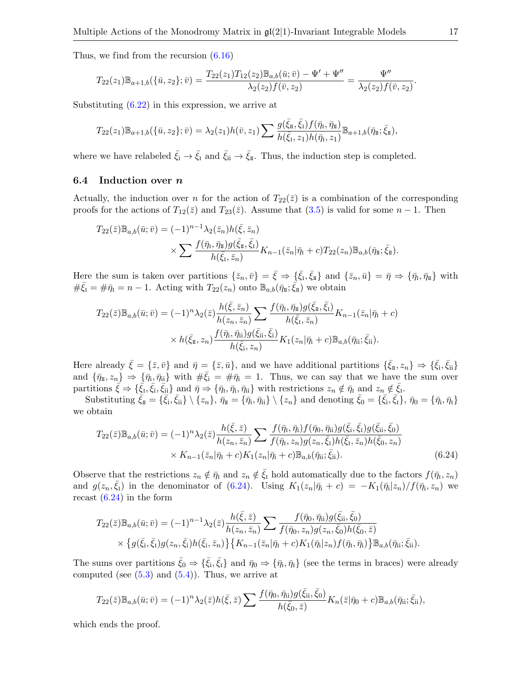Thus, we find from the recursion [\(6.16\)](#page-14-3)

$$
T_{22}(z_1)\mathbb{B}_{a+1,b}(\{\bar{u},z_2\};\bar{v})=\frac{T_{22}(z_1)T_{12}(z_2)\mathbb{B}_{a,b}(\bar{u};\bar{v})-\Psi'+\Psi''}{\lambda_2(z_2)f(\bar{v},z_2)}=\frac{\Psi''}{\lambda_2(z_2)f(\bar{v},z_2)}.
$$

Substituting [\(6.22\)](#page-15-5) in this expression, we arrive at

$$
T_{22}(z_1)\mathbb{B}_{a+1,b}(\{\bar{u},z_2\};\bar{v})=\lambda_2(z_1)h(\bar{v},z_1)\sum\frac{g(\bar{\xi}_{\bar{u}},\bar{\xi}_{\bar{1}})f(\bar{\eta}_{\bar{1}},\bar{\eta}_{\bar{u}})}{h(\bar{\xi}_{\bar{1}},z_1)h(\bar{\eta}_{\bar{1}},z_1)}\mathbb{B}_{a+1,b}(\bar{\eta}_{\bar{u}};\bar{\xi}_{\bar{u}}),
$$

where we have relabeled  $\bar{\xi}_i \to \bar{\xi}_I$  and  $\bar{\xi}_{ii} \to \bar{\xi}_{\mathbb{I}}$ . Thus, the induction step is completed.

#### 6.4 Induction over n

Actually, the induction over n for the action of  $T_{22}(\bar{z})$  is a combination of the corresponding proofs for the actions of  $T_{12}(\bar{z})$  and  $T_{23}(\bar{z})$ . Assume that [\(3.5\)](#page-5-5) is valid for some  $n-1$ . Then

$$
T_{22}(\bar{z})\mathbb{B}_{a,b}(\bar{u};\bar{v}) = (-1)^{n-1}\lambda_2(\bar{z}_n)h(\bar{\xi},\bar{z}_n)
$$

$$
\times \sum \frac{f(\bar{\eta}_1, \bar{\eta}_1)g(\bar{\xi}_1, \bar{\xi}_1)}{h(\bar{\xi}_1, \bar{z}_n)} K_{n-1}(\bar{z}_n|\bar{\eta}_1 + c)T_{22}(z_n)\mathbb{B}_{a,b}(\bar{\eta}_1; \bar{\xi}_1).
$$

Here the sum is taken over partitions  $\{\bar{z}_n, \bar{v}\} = \bar{\xi} \Rightarrow \{\bar{\xi}_1, \bar{\xi}_1\}$  and  $\{\bar{z}_n, \bar{u}\} = \bar{\eta} \Rightarrow \{\bar{\eta}_1, \bar{\eta}_1\}$  with  $\#\bar{\xi}_I = \#\bar{\eta}_I = n-1$ . Acting with  $T_{22}(z_n)$  onto  $\mathbb{B}_{a,b}(\bar{\eta}_I;\bar{\xi}_I)$  we obtain

$$
T_{22}(\bar{z})\mathbb{B}_{a,b}(\bar{u};\bar{v}) = (-1)^n \lambda_2(\bar{z}) \frac{h(\bar{\xi},\bar{z}_n)}{h(z_n,\bar{z}_n)} \sum \frac{f(\bar{\eta}_1,\bar{\eta}_1)g(\bar{\xi}_1,\bar{\xi}_1)}{h(\bar{\xi}_1,\bar{z}_n)} K_{n-1}(\bar{z}_n|\bar{\eta}_1+c)
$$
  

$$
\times h(\bar{\xi}_1,z_n) \frac{f(\bar{\eta}_1,\bar{\eta}_1)g(\bar{\xi}_1,\bar{\xi}_1)}{h(\bar{\xi}_1,z_n)} K_1(z_n|\bar{\eta}_1+c) \mathbb{B}_{a,b}(\bar{\eta}_1;\bar{\xi}_1).
$$

Here already  $\bar{\xi} = {\bar{z}, \bar{v}}$  and  $\bar{\eta} = {\bar{z}, \bar{u}}$ , and we have additional partitions  $\{\bar{\xi}_{\text{I}}, z_n\} \Rightarrow \{\bar{\xi}_{\text{i}}, \bar{\xi}_{\text{ii}}\}$ and  $\{\bar{\eta}_{\scriptscriptstyle \rm I\hspace{-1pt}I},z_n\} \Rightarrow \{\bar{\eta}_i,\bar{\eta}_{ii}\}\,$  with  $\#\bar{\xi}_i = \#\bar{\eta}_i = 1$ . Thus, we can say that we have the sum over partitions  $\bar{\xi} \Rightarrow {\{\bar{\xi}_I,\bar{\xi}_i,\bar{\xi}_{ii}\}}$  and  $\bar{\eta} \Rightarrow {\{\bar{\eta}_I,\bar{\eta}_i,\bar{\eta}_{ii}\}}$  with restrictions  $z_n \notin \bar{\eta}_I$  and  $z_n \notin \bar{\xi}_I$ .

Substituting  $\bar{\xi}_{\scriptscriptstyle \rm I\hspace{-1pt}I} = \{ \bar{\xi}_{\rm i}, \bar{\xi}_{\rm ii} \} \setminus \{ z_n \}, \bar{\eta}_{\scriptscriptstyle \rm I\hspace{-1pt}I} = \{ \bar{\eta}_{\rm i}, \bar{\eta}_{\rm ii} \} \setminus \{ z_n \}$  and denoting  $\bar{\xi}_{\rm 0} = \{ \bar{\xi}_{\rm i}, \bar{\xi}_{\rm i} \}, \bar{\eta}_{\rm 0} = \{ \bar{\eta}_{\rm i}, \bar{\eta}_{\rm i} \}$ we obtain

<span id="page-16-0"></span>
$$
T_{22}(\bar{z})\mathbb{B}_{a,b}(\bar{u};\bar{v}) = (-1)^n \lambda_2(\bar{z}) \frac{h(\bar{\xi},\bar{z})}{h(z_n,\bar{z}_n)} \sum \frac{f(\bar{\eta}_1,\bar{\eta}_i) f(\bar{\eta}_0,\bar{\eta}_i) g(\bar{\xi}_i,\bar{\xi}_1) g(\bar{\xi}_i,\bar{\xi}_0)}{f(\bar{\eta}_1,z_n) g(z_n,\bar{\xi}_1) h(\bar{\xi}_1,\bar{z}_n) h(\bar{\xi}_0,z_n)} \times K_{n-1}(\bar{z}_n|\bar{\eta}_1+c) K_1(z_n|\bar{\eta}_1+c) \mathbb{B}_{a,b}(\bar{\eta}_i;\bar{\xi}_i). \tag{6.24}
$$

Observe that the restrictions  $z_n \notin \bar{q}_I$  and  $z_n \notin \bar{\xi}_I$  hold automatically due to the factors  $f(\bar{\eta}_I, z_n)$ and  $g(z_n, \bar{\xi}_1)$  in the denominator of [\(6.24\)](#page-16-0). Using  $K_1(z_n|\bar{\eta}_1 + c) = -K_1(\bar{\eta}_1|z_n)/f(\bar{\eta}_1, z_n)$  we recast  $(6.24)$  in the form

$$
T_{22}(\bar{z})\mathbb{B}_{a,b}(\bar{u};\bar{v}) = (-1)^{n-1}\lambda_2(\bar{z})\frac{h(\bar{\xi},\bar{z})}{h(z_n,\bar{z}_n)}\sum \frac{f(\bar{\eta}_0,\bar{\eta}_{\text{ii}})g(\bar{\xi}_{\text{ii}},\bar{\xi}_0)}{f(\bar{\eta}_0,z_n)g(z_n,\bar{\xi}_0)h(\bar{\xi}_0,\bar{z})}\times \{g(\bar{\xi}_1,\bar{\xi}_1)g(z_n,\bar{\xi}_1)h(\bar{\xi}_1,\bar{z}_n)\}\{K_{n-1}(\bar{z}_n|\bar{\eta}_1+c)K_1(\bar{\eta}_1|z_n)f(\bar{\eta}_1,\bar{\eta}_1)\}\mathbb{B}_{a,b}(\bar{\eta}_{\text{ii}};\bar{\xi}_{\text{ii}}).
$$

The sums over partitions  $\bar{\xi}_0 \Rightarrow {\bar{\xi}_i, \bar{\xi}_1}$  and  $\bar{\eta}_0 \Rightarrow {\bar{\eta}_i, \bar{\eta}_1}$  (see the terms in braces) were already computed (see  $(5.3)$  and  $(5.4)$ ). Thus, we arrive at

$$
T_{22}(\bar{z})\mathbb{B}_{a,b}(\bar{u};\bar{v})=(-1)^n\lambda_2(\bar{z})h(\bar{\xi},\bar{z})\sum \frac{f(\bar{\eta}_0,\bar{\eta}_{ii})g(\bar{\xi}_{ii},\bar{\xi}_0)}{h(\bar{\xi}_0,\bar{z})}K_n(\bar{z}|\bar{\eta}_0+c)\mathbb{B}_{a,b}(\bar{\eta}_{ii};\bar{\xi}_{ii}),
$$

which ends the proof.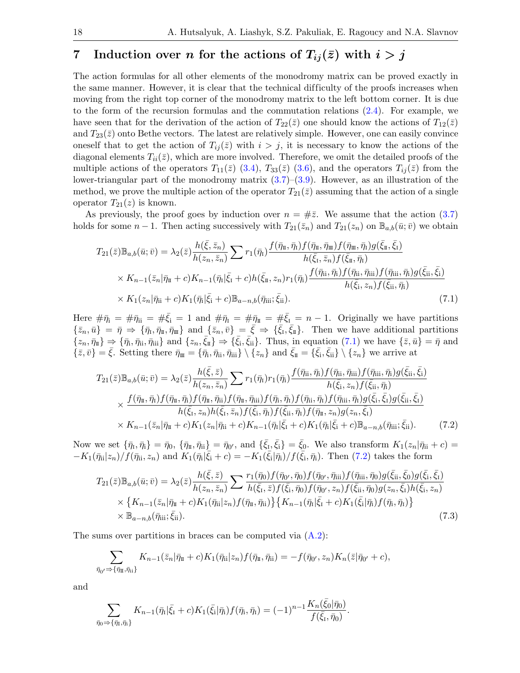# <span id="page-17-0"></span>7 Induction over *n* for the actions of  $T_{ij}(\bar{z})$  with  $i > j$

The action formulas for all other elements of the monodromy matrix can be proved exactly in the same manner. However, it is clear that the technical difficulty of the proofs increases when moving from the right top corner of the monodromy matrix to the left bottom corner. It is due to the form of the recursion formulas and the commutation relations [\(2.4\)](#page-2-0). For example, we have seen that for the derivation of the action of  $T_{22}(\bar{z})$  one should know the actions of  $T_{12}(\bar{z})$ and  $T_{23}(\bar{z})$  onto Bethe vectors. The latest are relatively simple. However, one can easily convince oneself that to get the action of  $T_{ij}(\bar{z})$  with  $i > j$ , it is necessary to know the actions of the diagonal elements  $T_{ii}(\bar{z})$ , which are more involved. Therefore, we omit the detailed proofs of the multiple actions of the operators  $T_{11}(\bar{z})$  [\(3.4\)](#page-5-0),  $T_{33}(\bar{z})$  [\(3.6\)](#page-5-1), and the operators  $T_{ij}(\bar{z})$  from the lower-triangular part of the monodromy matrix  $(3.7)$ – $(3.9)$ . However, as an illustration of the method, we prove the multiple action of the operator  $T_{21}(\bar{z})$  assuming that the action of a single operator  $T_{21}(z)$  is known.

As previously, the proof goes by induction over  $n = #\overline{z}$ . We assume that the action [\(3.7\)](#page-5-6) holds for some  $n-1$ . Then acting successively with  $T_{21}(\bar{z}_n)$  and  $T_{21}(z_n)$  on  $\mathbb{B}_{a,b}(\bar{u};\bar{v})$  we obtain

<span id="page-17-1"></span>
$$
T_{21}(\bar{z})\mathbb{B}_{a,b}(\bar{u};\bar{v}) = \lambda_2(\bar{z})\frac{h(\bar{\xi},\bar{z}_n)}{h(z_n,\bar{z}_n)}\sum r_1(\bar{\eta}_1)\frac{f(\bar{\eta}_1,\bar{\eta}_1)f(\bar{\eta}_1,\bar{\eta}_1)f(\bar{\eta}_1,\bar{\eta}_1)g(\bar{\xi}_1,\bar{\xi}_1)}{h(\bar{\xi}_1,\bar{z}_n)f(\bar{\xi}_1,\bar{\eta}_1)}
$$
  
\n
$$
\times K_{n-1}(\bar{z}_n|\bar{\eta}_1+c)K_{n-1}(\bar{\eta}_1|\bar{\xi}_1+c)h(\bar{\xi}_1,z_n)r_1(\bar{\eta}_1)\frac{f(\bar{\eta}_1,\bar{\eta}_1)f(\bar{\eta}_1,\bar{\eta}_1)f(\bar{\eta}_1,\bar{\eta}_1)g(\bar{\xi}_1,\bar{\xi}_1)}{h(\bar{\xi}_1,z_n)f(\bar{\xi}_1,\bar{\eta}_1)}
$$
  
\n
$$
\times K_1(z_n|\bar{\eta}_1+c)K_1(\bar{\eta}_1|\bar{\xi}_1+c)\mathbb{B}_{a-n,b}(\bar{\eta}_1,\bar{\xi}_1).
$$
 (7.1)

Here  $\#\bar{\eta}_i = \#\bar{\eta}_i = \#\bar{\xi}_i = 1$  and  $\#\bar{\eta}_i = \#\bar{\eta}_i = \#\bar{\xi}_i = n-1$ . Originally we have partitions  $\{\bar{z}_n,\bar{u}\} = \bar{\eta} \Rightarrow \{\bar{\eta}_1,\bar{\eta}_1,\bar{\eta}_1\}$  and  $\{\bar{z}_n,\bar{v}\} = \bar{\xi} \Rightarrow \{\bar{\xi}_1,\bar{\xi}_1\}$ . Then we have additional partitions  $\{\overline{z}_n, \overline{\eta}_{\overline{\mathbf{i}}} \} \Rightarrow \{\overline{\eta}_{\mathbf{i}}, \overline{\eta}_{\mathbf{i}}\}$  and  $\{\overline{z}_n, \overline{\xi}_{\overline{\mathbf{i}}} \} \Rightarrow \{\overline{\xi}_{\mathbf{i}}, \overline{\xi}_{\mathbf{i}}\}$ . Thus, in equation [\(7.1\)](#page-17-1) we have  $\{\overline{z}, \overline{u}\} = \overline{\eta}$  and  $\{\bar{z}, \bar{v}\} = \bar{\xi}$ . Setting there  $\bar{\eta}_{\scriptscriptstyle \rm I\hspace{-1pt}I\hspace{-1pt}I} = \{\bar{\eta}_i, \bar{\eta}_{i\scriptscriptstyle \rm I}, \bar{\eta}_{i\scriptscriptstyle \rm I\hspace{-1pt}I}\} \setminus \{z_n\}$  and  $\bar{\xi}_{\scriptscriptstyle \rm I\hspace{-1pt}I\hspace{-1pt}I} = \{\bar{\xi}_i, \bar{\xi}_{i\scriptscriptstyle \rm I}\} \setminus \{z_n\}$  we arrive at

<span id="page-17-2"></span>
$$
T_{21}(\bar{z})\mathbb{B}_{a,b}(\bar{u};\bar{v}) = \lambda_2(\bar{z})\frac{h(\bar{\xi},\bar{z})}{h(z_n,\bar{z}_n)}\sum r_1(\bar{\eta}_1)r_1(\bar{\eta}_i)\frac{f(\bar{\eta}_{ii},\bar{\eta}_i)f(\bar{\eta}_{ii},\bar{\eta}_{iii})f(\bar{\eta}_{iii},\bar{\eta}_i)g(\bar{\xi}_{ii},\bar{\xi}_{i})}{h(\bar{\xi}_{i},z_n)f(\bar{\xi}_{ii},\bar{\eta}_i)}
$$

$$
\times \frac{f(\bar{\eta}_{\pi},\bar{\eta}_{\pi})f(\bar{\eta}_{\pi},\bar{\eta}_{\pi})f(\bar{\eta}_{\pi},\bar{\eta}_{\pi})f(\bar{\eta}_{\pi},\bar{\eta}_{\pi})f(\bar{\eta}_{\pi},\bar{\eta}_{\pi})f(\bar{\eta}_{\pi},\bar{\eta}_{\pi})f(\bar{\eta}_{\pi},\bar{\eta}_{\pi})g(\bar{\xi}_{i},\bar{\xi}_{i})g(\bar{\xi}_{i},\bar{\xi}_{i})}{h(\bar{\xi}_{i},z_n)h(\bar{\xi}_{i},\bar{z}_n)f(\bar{\xi}_{i},\bar{\eta}_{\pi})f(\bar{\xi}_{i},\bar{\eta}_{\pi})f(\bar{\eta}_{\pi},z_n)g(z_n,\bar{\xi}_{i})}
$$

$$
\times K_{n-1}(\bar{z}_n|\bar{\eta}_{\pi}+c)K_1(z_n|\bar{\eta}_{\pi}+c)K_{n-1}(\bar{\eta}_{\pi}|\bar{\xi}_{\pi}+c)K_1(\bar{\eta}_{\pi}|\bar{\xi}_{\pi}+c)\mathbb{B}_{a-n,b}(\bar{\eta}_{\pi}u;\bar{\xi}_{\pi}). \tag{7.2}
$$

Now we set  $\{\bar{\eta}_I, \bar{\eta}_i\} = \bar{\eta}_0$ ,  $\{\bar{\eta}_{\scriptscriptstyle \rm I\hspace{-1pt}I}, \bar{\eta}_{\scriptscriptstyle \rm I\hspace{-1pt}I}\} = \bar{\eta}_0$ , and  $\{\bar{\xi}_I, \bar{\xi}_i\} = \bar{\xi}_0$ . We also transform  $K_1(z_n|\bar{\eta}_{\scriptscriptstyle \rm I\hspace{-1pt}I} + c) =$  $-K_1(\bar{\eta}_{ii}|z_n)/f(\bar{\eta}_{ii},\bar{z}_n)$  and  $K_1(\bar{\eta}_{i}|\bar{\xi}_{i}+c)=-K_1(\bar{\xi}_{i}|\bar{\eta}_{i})/f(\bar{\xi}_{i},\bar{\eta}_{i})$ . Then [\(7.2\)](#page-17-2) takes the form

<span id="page-17-3"></span>
$$
T_{21}(\bar{z})\mathbb{B}_{a,b}(\bar{u};\bar{v}) = \lambda_2(\bar{z}) \frac{h(\bar{\xi},\bar{z})}{h(z_n,\bar{z}_n)} \sum \frac{r_1(\bar{\eta}_0) f(\bar{\eta}_{0'},\bar{\eta}_0) f(\bar{\eta}_{0'},\bar{\eta}_{\text{iii}}) f(\bar{\eta}_{\text{iii}},\bar{\eta}_0) g(\bar{\xi}_{\text{ii}},\bar{\xi}_0) g(\bar{\xi}_{\text{i}},\bar{\xi}_1)}{h(\bar{\xi}_1,\bar{z}) f(\bar{\xi}_{\text{i}},\bar{\eta}_0) f(\bar{\eta}_{0'},z_n) f(\bar{\xi}_{\text{ii}},\bar{\eta}_0) g(z_n,\bar{\xi}_1) h(\bar{\xi}_{\text{i}},z_n)}
$$
  
×  $\{K_{n-1}(\bar{z}_n | \bar{\eta}_1 + c) K_1(\bar{\eta}_{\text{ii}} | z_n) f(\bar{\eta}_1, \bar{\eta}_{\text{ii}})\} \{K_{n-1}(\bar{\eta}_1 | \bar{\xi}_1 + c) K_1(\bar{\xi}_1 | \bar{\eta}_1) f(\bar{\eta}_1, \bar{\eta}_1)\}$   
×  $\mathbb{B}_{a-n,b}(\bar{\eta}_{\text{iii}}; \bar{\xi}_{\text{ii}}).$  (7.3)

The sums over partitions in braces can be computed via [\(A.2\)](#page-19-7):

$$
\sum_{\bar{\eta}_{0'} \Rightarrow {\lbrace \bar{\eta}_{\mathrm{II}}, \bar{\eta}_{\mathrm{ii}} \rbrace}} K_{n-1}(\bar{z}_{n} | \bar{\eta}_{\mathrm{II}} + c) K_{1}(\bar{\eta}_{\mathrm{ii}} | z_{n}) f(\bar{\eta}_{\mathrm{II}}, \bar{\eta}_{\mathrm{ii}}) = -f(\bar{\eta}_{0'}, z_{n}) K_{n}(\bar{z} | \bar{\eta}_{0'} + c),
$$

and

$$
\sum_{\bar{\eta}_0 \Rightarrow {\{\bar{\eta}_1,\bar{\eta}_i\}}} K_{n-1}(\bar{\eta}_1 | \bar{\xi}_1 + c) K_1(\bar{\xi}_1 | \bar{\eta}_1) f(\bar{\eta}_1, \bar{\eta}_1) = (-1)^{n-1} \frac{K_n(\bar{\xi}_0 | \bar{\eta}_0)}{f(\bar{\xi}_1, \bar{\eta}_0)}.
$$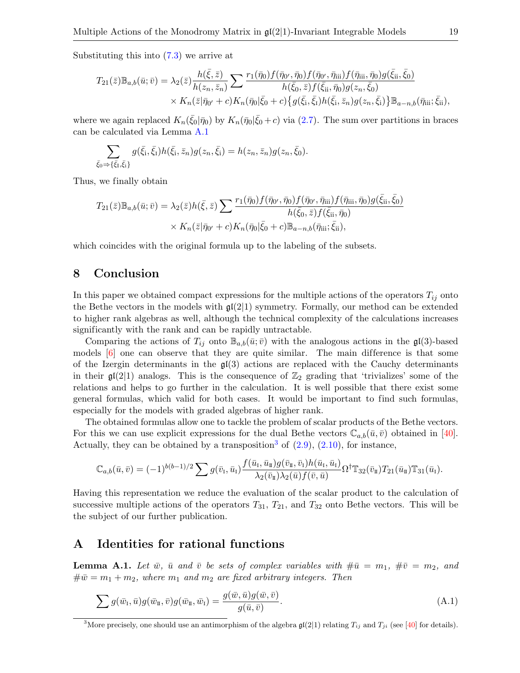Substituting this into [\(7.3\)](#page-17-3) we arrive at

$$
T_{21}(\bar{z})\mathbb{B}_{a,b}(\bar{u};\bar{v}) = \lambda_2(\bar{z})\frac{h(\bar{\xi},\bar{z})}{h(z_n,\bar{z}_n)}\sum \frac{r_1(\bar{\eta}_0)f(\bar{\eta}_{0'},\bar{\eta}_0)f(\bar{\eta}_{0'},\bar{\eta}_{\text{iii}})f(\bar{\eta}_{\text{iii}},\bar{\eta}_0)g(\bar{\xi}_{\text{ii}},\bar{\xi}_0)}{h(\bar{\xi}_0,\bar{z})f(\bar{\xi}_{\text{ii}},\bar{\eta}_0)g(z_n,\bar{\xi}_0)} \times K_n(\bar{z}|\bar{\eta}_{0'}+c)K_n(\bar{\eta}_0|\bar{\xi}_0+c)\{g(\bar{\xi}_i,\bar{\xi}_i)h(\bar{\xi}_i,\bar{z}_n)g(z_n,\bar{\xi}_i)\}\mathbb{B}_{a-n,b}(\bar{\eta}_{\text{iii}};\bar{\xi}_{\text{ii}}),
$$

where we again replaced  $K_n(\bar{\xi}_0|\bar{\eta}_0)$  by  $K_n(\bar{\eta}_0|\bar{\xi}_0+c)$  via [\(2.7\)](#page-3-5). The sum over partitions in braces can be calculated via Lemma [A.1](#page-18-0)

$$
\sum_{\bar{\xi}_0 \Rightarrow \{\bar{\xi}_1, \bar{\xi}_1\}} g(\bar{\xi}_1, \bar{\xi}_1) h(\bar{\xi}_1, \bar{z}_n) g(z_n, \bar{\xi}_1) = h(z_n, \bar{z}_n) g(z_n, \bar{\xi}_0).
$$

Thus, we finally obtain

$$
T_{21}(\bar{z})\mathbb{B}_{a,b}(\bar{u};\bar{v}) = \lambda_2(\bar{z})h(\bar{\xi},\bar{z})\sum \frac{r_1(\bar{\eta}_0)f(\bar{\eta}_{0'},\bar{\eta}_0)f(\bar{\eta}_{0'},\bar{\eta}_{\text{iii}})f(\bar{\eta}_{\text{iii}},\bar{\eta}_0)g(\bar{\xi}_{\text{ii}},\bar{\xi}_0)}{h(\bar{\xi}_0,\bar{z})f(\bar{\xi}_{\text{ii}},\bar{\eta}_0)} \times K_n(\bar{z}|\bar{\eta}_{0'}+c)K_n(\bar{\eta}_0|\bar{\xi}_0+c)\mathbb{B}_{a-n,b}(\bar{\eta}_{\text{iii}};\bar{\xi}_{\text{ii}}),
$$

which coincides with the original formula up to the labeling of the subsets.

### 8 Conclusion

In this paper we obtained compact expressions for the multiple actions of the operators  $T_{ij}$  onto the Bethe vectors in the models with  $\mathfrak{gl}(2|1)$  symmetry. Formally, our method can be extended to higher rank algebras as well, although the technical complexity of the calculations increases significantly with the rank and can be rapidly untractable.

Comparing the actions of  $T_{ij}$  onto  $\mathbb{B}_{a,b}(\bar{u};\bar{v})$  with the analogous actions in the  $\mathfrak{gl}(3)$ -based models  $\left[6\right]$  one can observe that they are quite similar. The main difference is that some of the Izergin determinants in the  $\mathfrak{gl}(3)$  actions are replaced with the Cauchy determinants in their  $\mathfrak{gl}(2|1)$  analogs. This is the consequence of  $\mathbb{Z}_2$  grading that 'trivializes' some of the relations and helps to go further in the calculation. It is well possible that there exist some general formulas, which valid for both cases. It would be important to find such formulas, especially for the models with graded algebras of higher rank.

The obtained formulas allow one to tackle the problem of scalar products of the Bethe vectors. For this we can use explicit expressions for the dual Bethe vectors  $\mathbb{C}_{a,b}(\bar{u},\bar{v})$  obtained in [\[40\]](#page-21-18). Actually, they can be obtained by a transposition  $3$  of  $(2.9)$ ,  $(2.10)$ , for instance,

$$
\mathbb{C}_{a,b}(\bar{u},\bar{v}) = (-1)^{b(b-1)/2} \sum g(\bar{v}_1,\bar{u}_1) \frac{f(\bar{u}_1,\bar{u}_1)g(\bar{v}_1,\bar{v}_1)h(\bar{u}_1,\bar{u}_1)}{\lambda_2(\bar{v}_1)\lambda_2(\bar{u})f(\bar{v},\bar{u})} \Omega^{\dagger} \mathbb{T}_{32}(\bar{v}_1) T_{21}(\bar{u}_1) \mathbb{T}_{31}(\bar{u}_1).
$$

Having this representation we reduce the evaluation of the scalar product to the calculation of successive multiple actions of the operators  $T_{31}$ ,  $T_{21}$ , and  $T_{32}$  onto Bethe vectors. This will be the subject of our further publication.

## A Identities for rational functions

<span id="page-18-0"></span>**Lemma A.1.** Let  $\bar{w}$ ,  $\bar{u}$  and  $\bar{v}$  be sets of complex variables with  $\#\bar{u} = m_1$ ,  $\#\bar{v} = m_2$ , and  $\#\bar{w}=m_1+m_2$ , where  $m_1$  and  $m_2$  are fixed arbitrary integers. Then

<span id="page-18-2"></span>
$$
\sum g(\bar{w}_I, \bar{u})g(\bar{w}_I, \bar{v})g(\bar{w}_I, \bar{w}_I) = \frac{g(\bar{w}, \bar{u})g(\bar{w}, \bar{v})}{g(\bar{u}, \bar{v})}.
$$
\n(A.1)

<span id="page-18-1"></span><sup>&</sup>lt;sup>3</sup>More precisely, one should use an antimorphism of the algebra  $\mathfrak{gl}(2|1)$  relating  $T_{ij}$  and  $T_{ji}$  (see [\[40\]](#page-21-18) for details).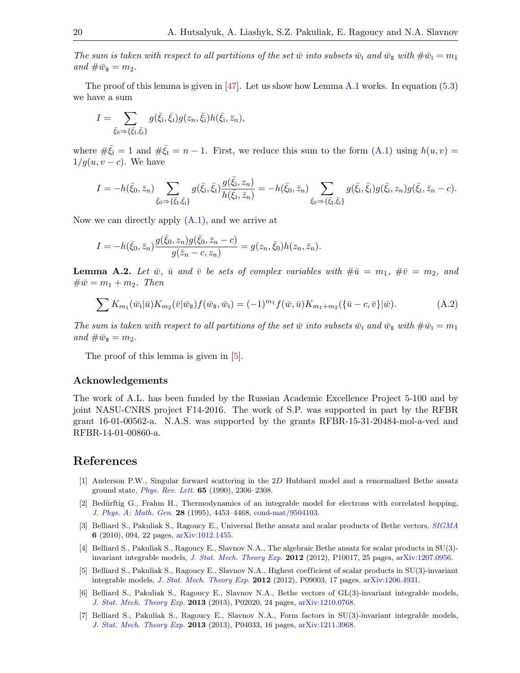The sum is taken with respect to all partitions of the set  $\bar{w}$  into subsets  $\bar{w}_I$  and  $\bar{w}_{\bar{u}}$  with  $\#\bar{w}_I = m_1$ and  $\#\bar{w}_{\mathbb{I}} = m_2$ .

The proof of this lemma is given in [\[47\]](#page-21-21). Let us show how Lemma [A.1](#page-18-0) works. In equation  $(5.3)$ we have a sum

$$
I = \sum_{\bar{\xi}_0 \Rightarrow {\{\bar{\xi}_1, \bar{\xi}_i\}}} g(\bar{\xi}_i, \bar{\xi}_1) g(z_n, \bar{\xi}_i) h(\bar{\xi}_i, \bar{z}_n),
$$

where  $\#\bar{\xi}_i = 1$  and  $\#\bar{\xi}_i = n-1$ . First, we reduce this sum to the form  $(A.1)$  using  $h(u, v) =$  $1/g(u, v - c)$ . We have

$$
I = -h(\bar{\xi}_0, \bar{z}_n) \sum_{\bar{\xi}_0 \to \{\bar{\xi}_1, \bar{\xi}_i\}} g(\bar{\xi}_i, \bar{\xi}_1) \frac{g(\bar{\xi}_i, z_n)}{h(\bar{\xi}_1, \bar{z}_n)} = -h(\bar{\xi}_0, \bar{z}_n) \sum_{\bar{\xi}_0 \to \{\bar{\xi}_1, \bar{\xi}_i\}} g(\bar{\xi}_i, \bar{\xi}_1) g(\bar{\xi}_i, z_n) g(\bar{\xi}_1, \bar{z}_n - c).
$$

Now we can directly apply  $(A.1)$ , and we arrive at

$$
I = -h(\bar{\xi}_0, \bar{z}_n) \frac{g(\bar{\xi}_0, z_n)g(\bar{\xi}_0, \bar{z}_n - c)}{g(\bar{z}_n - c, z_n)} = g(z_n, \bar{\xi}_0)h(z_n, \bar{z}_n).
$$

**Lemma A.2.** Let  $\bar{w}$ ,  $\bar{u}$  and  $\bar{v}$  be sets of complex variables with  $\#\bar{u} = m_1$ ,  $\#\bar{v} = m_2$ , and  $\#\bar{w} = m_1 + m_2$ . Then

<span id="page-19-7"></span>
$$
\sum K_{m_1}(\bar{w}_1|\bar{u})K_{m_2}(\bar{v}|\bar{w}_1)f(\bar{w}_1,\bar{w}_1) = (-1)^{m_1}f(\bar{w},\bar{u})K_{m_1+m_2}(\{\bar{u}-c,\bar{v}\}|\bar{w}). \tag{A.2}
$$

The sum is taken with respect to all partitions of the set  $\bar{w}$  into subsets  $\bar{w}_I$  and  $\bar{w}_{\bar{u}}$  with  $\#\bar{w}_I = m_1$ and  $\#\bar{w}_{\mathbb{I}} = m_2$ .

The proof of this lemma is given in [\[5\]](#page-19-2).

#### Acknowledgements

The work of A.L. has been funded by the Russian Academic Excellence Project 5-100 and by joint NASU-CNRS project F14-2016. The work of S.P. was supported in part by the RFBR grant 16-01-00562-a. N.A.S. was supported by the grants RFBR-15-31-20484-mol-a-ved and RFBR-14-01-00860-a.

## References

- <span id="page-19-4"></span>[1] Anderson P.W., Singular forward scattering in the 2D Hubbard model and a renormalized Bethe ansatz ground state, [Phys. Rev. Lett.](http://dx.doi.org/10.1103/PhysRevLett.65.2306) 65 (1990), 2306–2308.
- <span id="page-19-5"></span>[2] Bedürftig G., Frahm H., Thermodynamics of an integrable model for electrons with correlated hopping, [J. Phys. A: Math. Gen.](http://dx.doi.org/10.1088/0305-4470/28/16/006) 28 (1995), 4453–4468, [cond-mat/9504103.](http://arxiv.org/abs/cond-mat/9504103)
- <span id="page-19-0"></span>[3] Belliard S., Pakuliak S., Ragoucy E., Universal Bethe ansatz and scalar products of Bethe vectors, [SIGMA](http://dx.doi.org/10.3842/SIGMA.2010.094) 6 (2010), 094, 22 pages, [arXiv:1012.1455.](http://arxiv.org/abs/1012.1455)
- <span id="page-19-1"></span>[4] Belliard S., Pakuliak S., Ragoucy E., Slavnov N.A., The algebraic Bethe ansatz for scalar products in SU(3)- invariant integrable models, [J. Stat. Mech. Theory Exp.](http://dx.doi.org/10.1088/1742-5468/2012/10/P10017) 2012 (2012), P10017, 25 pages, [arXiv:1207.0956.](http://arxiv.org/abs/1207.0956)
- <span id="page-19-2"></span>[5] Belliard S., Pakuliak S., Ragoucy E., Slavnov N.A., Highest coefficient of scalar products in SU(3)-invariant integrable models, [J. Stat. Mech. Theory Exp.](http://dx.doi.org/10.1088/1742-5468/2012/09/P09003) 2012 (2012), P09003, 17 pages, [arXiv:1206.4931.](http://arxiv.org/abs/1206.4931)
- <span id="page-19-6"></span>[6] Belliard S., Pakuliak S., Ragoucy E., Slavnov N.A., Bethe vectors of GL(3)-invariant integrable models, [J. Stat. Mech. Theory Exp.](http://dx.doi.org/10.1088/1742-5468/2013/02/P02020) 2013 (2013), P02020, 24 pages, [arXiv:1210.0768.](http://arxiv.org/abs/1210.0768)
- <span id="page-19-3"></span>[7] Belliard S., Pakuliak S., Ragoucy E., Slavnov N.A., Form factors in SU(3)-invariant integrable models, [J. Stat. Mech. Theory Exp.](http://dx.doi.org/10.1088/1742-5468/2013/04/P04033) 2013 (2013), P04033, 16 pages, [arXiv:1211.3968.](http://arxiv.org/abs/1211.3968)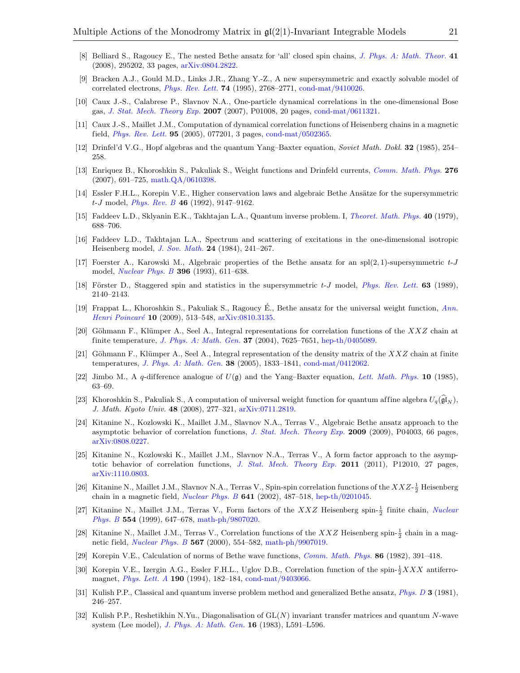- <span id="page-20-18"></span>[8] Belliard S., Ragoucy E., The nested Bethe ansatz for 'all' closed spin chains, *[J. Phys. A: Math. Theor.](http://dx.doi.org/10.1088/1751-8113/41/29/295202)* 41 (2008), 295202, 33 pages, [arXiv:0804.2822.](http://arxiv.org/abs/0804.2822)
- <span id="page-20-22"></span>[9] Bracken A.J., Gould M.D., Links J.R., Zhang Y.-Z., A new supersymmetric and exactly solvable model of correlated electrons, [Phys. Rev. Lett.](http://dx.doi.org/10.1103/PhysRevLett.74.2768) 74 (1995), 2768–2771, [cond-mat/9410026.](http://arxiv.org/abs/cond-mat/9410026)
- <span id="page-20-9"></span>[10] Caux J.-S., Calabrese P., Slavnov N.A., One-particle dynamical correlations in the one-dimensional Bose gas, [J. Stat. Mech. Theory Exp.](http://dx.doi.org/10.1088/1742-5468/2007/01/P01008) 2007 (2007), P01008, 20 pages, [cond-mat/0611321.](http://arxiv.org/abs/cond-mat/0611321)
- <span id="page-20-10"></span>[11] Caux J.-S., Maillet J.M., Computation of dynamical correlation functions of Heisenberg chains in a magnetic field, [Phys. Rev. Lett.](http://dx.doi.org/10.1103/PhysRevLett.95.077201) 95 (2005), 077201, 3 pages, [cond-mat/0502365.](http://arxiv.org/abs/cond-mat/0502365)
- <span id="page-20-2"></span>[12] Drinfel'd V.G., Hopf algebras and the quantum Yang–Baxter equation, Soviet Math. Dokl. 32 (1985), 254– 258.
- <span id="page-20-23"></span>[13] Enriquez B., Khoroshkin S., Pakuliak S., Weight functions and Drinfeld currents, [Comm. Math. Phys.](http://dx.doi.org/10.1007/s00220-007-0351-y) 276 (2007), 691–725, [math.QA/0610398.](http://arxiv.org/abs/math.QA/0610398)
- <span id="page-20-19"></span>[14] Essler F.H.L., Korepin V.E., Higher conservation laws and algebraic Bethe Ansätze for the supersymmetric  $t-J$  model, *[Phys. Rev. B](http://dx.doi.org/10.1103/PhysRevB.46.9147)* 46 (1992), 9147–9162.
- <span id="page-20-0"></span>[15] Faddeev L.D., Sklyanin E.K., Takhtajan L.A., Quantum inverse problem. I, [Theoret. Math. Phys.](http://dx.doi.org/10.1007/BF01018718) 40 (1979), 688–706.
- <span id="page-20-1"></span>[16] Faddeev L.D., Takhtajan L.A., Spectrum and scattering of excitations in the one-dimensional isotropic Heisenberg model, [J. Sov. Math.](http://dx.doi.org/10.1007/BF01087245) 24 (1984), 241–267.
- <span id="page-20-20"></span>[17] Foerster A., Karowski M., Algebraic properties of the Bethe ansatz for an spl $(2, 1)$ -supersymmetric t-J model, *[Nuclear Phys. B](http://dx.doi.org/10.1016/0550-3213(93)90665-C)* **396** (1993), 611–638.
- <span id="page-20-21"></span>[18] Förster D., Staggered spin and statistics in the supersymmetric  $t-J$  model, [Phys. Rev. Lett.](http://dx.doi.org/10.1103/PhysRevLett.63.2140) 63 (1989), 2140–2143.
- <span id="page-20-24"></span>[19] Frappat L., Khoroshkin S., Pakuliak S., Ragoucy É., Bethe ansatz for the universal weight function,  $Ann.$ Henri Poincaré 10 (2009), 513-548, [arXiv:0810.3135.](http://arxiv.org/abs/0810.3135)
- <span id="page-20-11"></span>[20] Göhmann F., Klümper A., Seel A., Integral representations for correlation functions of the  $XXZ$  chain at finite temperature, [J. Phys. A: Math. Gen.](http://dx.doi.org/10.1088/0305-4470/37/31/001) 37 (2004), 7625–7651, [hep-th/0405089.](http://arxiv.org/abs/hep-th/0405089)
- <span id="page-20-12"></span>[21] Göhmann F., Klümper A., Seel A., Integral representation of the density matrix of the  $XXZ$  chain at finite temperatures, [J. Phys. A: Math. Gen.](http://dx.doi.org/10.1088/0305-4470/38/9/001) 38 (2005), 1833–1841, [cond-mat/0412062.](http://arxiv.org/abs/cond-mat/0412062)
- <span id="page-20-3"></span>[22] Jimbo M., A q-difference analogue of  $U(\mathfrak{g})$  and the Yang–Baxter equation, [Lett. Math. Phys.](http://dx.doi.org/10.1007/BF00704588) 10 (1985), 63–69.
- <span id="page-20-4"></span>[23] Khoroshkin S., Pakuliak S., A computation of universal weight function for quantum affine algebra  $U_q(\mathfrak{gl}_N)$ , J. Math. Kyoto Univ. 48 (2008), 277–321, [arXiv:0711.2819.](http://arxiv.org/abs/0711.2819)
- <span id="page-20-13"></span>[24] Kitanine N., Kozlowski K., Maillet J.M., Slavnov N.A., Terras V., Algebraic Bethe ansatz approach to the asymptotic behavior of correlation functions, [J. Stat. Mech. Theory Exp.](http://dx.doi.org/10.1088/1742-5468/2009/04/P04003) 2009 (2009), P04003, 66 pages, [arXiv:0808.0227.](http://arxiv.org/abs/0808.0227)
- <span id="page-20-6"></span>[25] Kitanine N., Kozlowski K., Maillet J.M., Slavnov N.A., Terras V., A form factor approach to the asymp-totic behavior of correlation functions, [J. Stat. Mech. Theory Exp.](http://dx.doi.org/10.1088/1742-5468/2011/12/P12010) 2011 (2011), P12010, 27 pages, [arXiv:1110.0803.](http://arxiv.org/abs/1110.0803)
- <span id="page-20-14"></span>[26] Kitanine N., Maillet J.M., Slavnov N.A., Terras V., Spin-spin correlation functions of the  $XXZ-\frac{1}{2}$  Heisenberg chain in a magnetic field, *[Nuclear Phys. B](http://dx.doi.org/10.1016/S0550-3213(02)00583-7)* **641** (2002), 487–518, [hep-th/0201045.](http://arxiv.org/abs/hep-th/0201045)
- <span id="page-20-7"></span>[27] Kitanine N., Maillet J.M., Terras V., Form factors of the  $XXZ$  Heisenberg spin- $\frac{1}{2}$  finite chain, *[Nuclear](http://dx.doi.org/10.1016/S0550-3213(99)00295-3)* [Phys. B](http://dx.doi.org/10.1016/S0550-3213(99)00295-3) 554 (1999), 647–678, [math-ph/9807020.](http://arxiv.org/abs/math-ph/9807020)
- <span id="page-20-15"></span>[28] Kitanine N., Maillet J.M., Terras V., Correlation functions of the XXZ Heisenberg spin- $\frac{1}{2}$  chain in a magnetic field, [Nuclear Phys. B](http://dx.doi.org/10.1016/S0550-3213(99)00619-7) 567 (2000), 554–582, [math-ph/9907019.](http://arxiv.org/abs/math-ph/9907019)
- <span id="page-20-5"></span>[29] Korepin V.E., Calculation of norms of Bethe wave functions, [Comm. Math. Phys.](http://dx.doi.org/10.1007/BF01212176) 86 (1982), 391–418.
- <span id="page-20-8"></span>[30] Korepin V.E., Izergin A.G., Essler F.H.L., Uglov D.B., Correlation function of the spin- $\frac{1}{2}XXX$  antiferromagnet, [Phys. Lett. A](http://dx.doi.org/10.1016/0375-9601(94)90074-4) 190 (1994), 182–184, [cond-mat/9403066.](http://arxiv.org/abs/cond-mat/9403066)
- <span id="page-20-16"></span>[31] Kulish P.P., Classical and quantum inverse problem method and generalized Bethe ansatz, *[Phys. D](http://dx.doi.org/10.1016/0167-2789(81)90130-5)* 3 (1981), 246–257.
- <span id="page-20-17"></span>[32] Kulish P.P., Reshetikhin N.Yu., Diagonalisation of GL(N) invariant transfer matrices and quantum N-wave system (Lee model), [J. Phys. A: Math. Gen.](http://dx.doi.org/10.1088/0305-4470/16/16/001) 16 (1983), L591–L596.